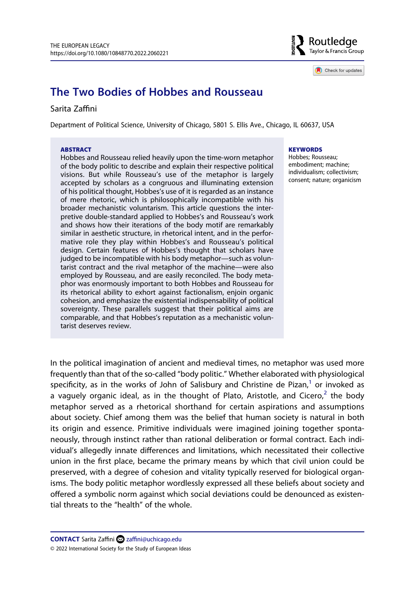

Check for updates

# **The Two Bodies of Hobbes and Rousseau**

### Sarita Zaffini

Department of Political Science, University of Chicago, 5801 S. Ellis Ave., Chicago, IL 60637, USA

#### **ABSTRACT**

Hobbes and Rousseau relied heavily upon the time-worn metaphor of the body politic to describe and explain their respective political visions. But while Rousseau's use of the metaphor is largely accepted by scholars as a congruous and illuminating extension of his political thought, Hobbes's use of it is regarded as an instance of mere rhetoric, which is philosophically incompatible with his broader mechanistic voluntarism. This article questions the interpretive double-standard applied to Hobbes's and Rousseau's work and shows how their iterations of the body motif are remarkably similar in aesthetic structure, in rhetorical intent, and in the performative role they play within Hobbes's and Rousseau's political design. Certain features of Hobbes's thought that scholars have judged to be incompatible with his body metaphor—such as voluntarist contract and the rival metaphor of the machine—were also employed by Rousseau, and are easily reconciled. The body metaphor was enormously important to both Hobbes and Rousseau for its rhetorical ability to exhort against factionalism, enjoin organic cohesion, and emphasize the existential indispensability of political sovereignty. These parallels suggest that their political aims are comparable, and that Hobbes's reputation as a mechanistic voluntarist deserves review.

#### **KEYWORDS**

Hobbes; Rousseau; embodiment; machine; individualism; collectivism; consent; nature; organicism

In the political imagination of ancient and medieval times, no metaphor was used more frequently than that of the so-called "body politic." Whether elaborated with physiological specificity, as in the works of John of Salisbury and Christine de Pizan, $1$  or invoked as a vaguely organic ideal, as in the thought of Plato, Aristotle, and Cicero,<sup>2</sup> the body metaphor served as a rhetorical shorthand for certain aspirations and assumptions about society. Chief among them was the belief that human society is natural in both its origin and essence. Primitive individuals were imagined joining together spontaneously, through instinct rather than rational deliberation or formal contract. Each individual's allegedly innate differences and limitations, which necessitated their collective union in the first place, became the primary means by which that civil union could be preserved, with a degree of cohesion and vitality typically reserved for biological organisms. The body politic metaphor wordlessly expressed all these beliefs about society and offered a symbolic norm against which social deviations could be denounced as existential threats to the "health" of the whole.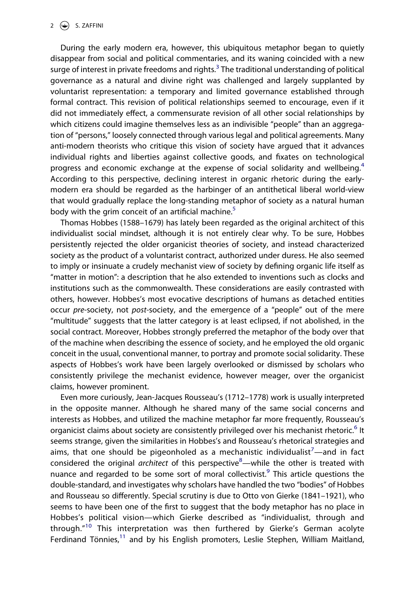During the early modern era, however, this ubiquitous metaphor began to quietly disappear from social and political commentaries, and its waning coincided with a new surge of interest in private freedoms and rights.<sup>3</sup> The traditional understanding of political governance as a natural and divine right was challenged and largely supplanted by voluntarist representation: a temporary and limited governance established through formal contract. This revision of political relationships seemed to encourage, even if it did not immediately effect, a commensurate revision of all other social relationships by which citizens could imagine themselves less as an indivisible "people" than an aggregation of "persons," loosely connected through various legal and political agreements. Many anti-modern theorists who critique this vision of society have argued that it advances individual rights and liberties against collective goods, and fixates on technological progress and economic exchange at the expense of social solidarity and wellbeing.<sup>[4](#page-21-3)</sup> According to this perspective, declining interest in organic rhetoric during the earlymodern era should be regarded as the harbinger of an antithetical liberal world-view that would gradually replace the long-standing metaphor of society as a natural human body with the grim conceit of an artificial machine.<sup>5</sup>

Thomas Hobbes (1588–1679) has lately been regarded as the original architect of this individualist social mindset, although it is not entirely clear why. To be sure, Hobbes persistently rejected the older organicist theories of society, and instead characterized society as the product of a voluntarist contract, authorized under duress. He also seemed to imply or insinuate a crudely mechanist view of society by defining organic life itself as "matter in motion": a description that he also extended to inventions such as clocks and institutions such as the commonwealth. These considerations are easily contrasted with others, however. Hobbes's most evocative descriptions of humans as detached entities occur *pre-*society, not *post-*society, and the emergence of a "people" out of the mere "multitude" suggests that the latter category is at least eclipsed, if not abolished, in the social contract. Moreover, Hobbes strongly preferred the metaphor of the body over that of the machine when describing the essence of society, and he employed the old organic conceit in the usual, conventional manner, to portray and promote social solidarity. These aspects of Hobbes's work have been largely overlooked or dismissed by scholars who consistently privilege the mechanist evidence, however meager, over the organicist claims, however prominent.

Even more curiously, Jean-Jacques Rousseau's (1712–1778) work is usually interpreted in the opposite manner. Although he shared many of the same social concerns and interests as Hobbes, and utilized the machine metaphor far more frequently, Rousseau's organicist claims about society are consistently privileged over his mechanist rhetoric.<sup>6</sup> It seems strange, given the similarities in Hobbes's and Rousseau's rhetorical strategies and aims, that one should be pigeonholed as a mechanistic individualist<sup>[7](#page-21-6)</sup>—and in fact considered the original *architect* of this perspective<sup>8</sup>—while the other is treated with nuance and regarded to be some sort of moral collectivist.<sup>9</sup> This article questions the double-standard, and investigates why scholars have handled the two "bodies" of Hobbes and Rousseau so differently. Special scrutiny is due to Otto von Gierke (1841–1921), who seems to have been one of the first to suggest that the body metaphor has no place in Hobbes's political vision—which Gierke described as "individualist, through and through."<sup>[10](#page-21-9)</sup> This interpretation was then furthered by Gierke's German acolyte Ferdinand Tönnies, $11$  and by his English promoters, Leslie Stephen, William Maitland,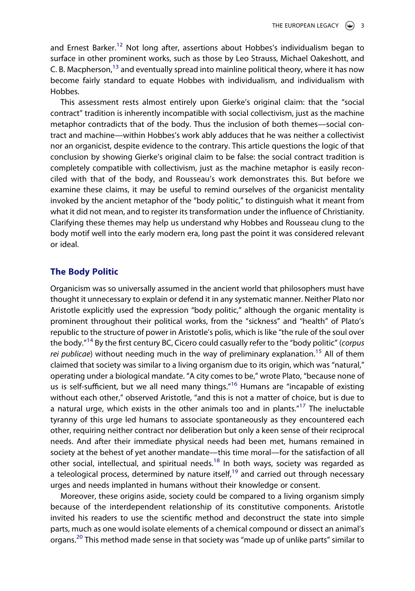and Ernest Barker.<sup>[12](#page-21-11)</sup> Not long after, assertions about Hobbes's individualism began to surface in other prominent works, such as those by Leo Strauss, Michael Oakeshott, and C. B. Macpherson,<sup>[13](#page-21-12)</sup> and eventually spread into mainline political theory, where it has now become fairly standard to equate Hobbes with individualism, and individualism with Hobbes.

This assessment rests almost entirely upon Gierke's original claim: that the "social contract" tradition is inherently incompatible with social collectivism, just as the machine metaphor contradicts that of the body. Thus the inclusion of both themes—social contract and machine—within Hobbes's work ably adduces that he was neither a collectivist nor an organicist, despite evidence to the contrary. This article questions the logic of that conclusion by showing Gierke's original claim to be false: the social contract tradition is completely compatible with collectivism, just as the machine metaphor is easily reconciled with that of the body, and Rousseau's work demonstrates this. But before we examine these claims, it may be useful to remind ourselves of the organicist mentality invoked by the ancient metaphor of the "body politic," to distinguish what it meant from what it did not mean, and to register its transformation under the influence of Christianity. Clarifying these themes may help us understand why Hobbes and Rousseau clung to the body motif well into the early modern era, long past the point it was considered relevant or ideal.

#### **The Body Politic**

Organicism was so universally assumed in the ancient world that philosophers must have thought it unnecessary to explain or defend it in any systematic manner. Neither Plato nor Aristotle explicitly used the expression "body politic," although the organic mentality is prominent throughout their political works, from the "sickness" and "health" of Plato's republic to the structure of power in Aristotle's polis, which is like "the rule of the soul over the body.["14](#page-22-0) By the first century BC, Cicero could casually refer to the "body politic" (*corpus rei publicae*) without needing much in the way of preliminary explanation.<sup>15</sup> All of them claimed that society was similar to a living organism due to its origin, which was "natural," operating under a biological mandate. "A city comes to be," wrote Plato, "because none of us is self-sufficient, but we all need many things."[16](#page-22-2) Humans are "incapable of existing without each other," observed Aristotle, "and this is not a matter of choice, but is due to a natural urge, which exists in the other animals too and in plants."<sup>17</sup> The ineluctable tyranny of this urge led humans to associate spontaneously as they encountered each other, requiring neither contract nor deliberation but only a keen sense of their reciprocal needs. And after their immediate physical needs had been met, humans remained in society at the behest of yet another mandate—this time moral—for the satisfaction of all other social, intellectual, and spiritual needs.<sup>[18](#page-22-4)</sup> In both ways, society was regarded as a teleological process, determined by nature itself,<sup>[19](#page-22-5)</sup> and carried out through necessary urges and needs implanted in humans without their knowledge or consent.

Moreover, these origins aside, society could be compared to a living organism simply because of the interdependent relationship of its constitutive components. Aristotle invited his readers to use the scientific method and deconstruct the state into simple parts, much as one would isolate elements of a chemical compound or dissect an animal's organs.<sup>[20](#page-22-6)</sup> This method made sense in that society was "made up of unlike parts" similar to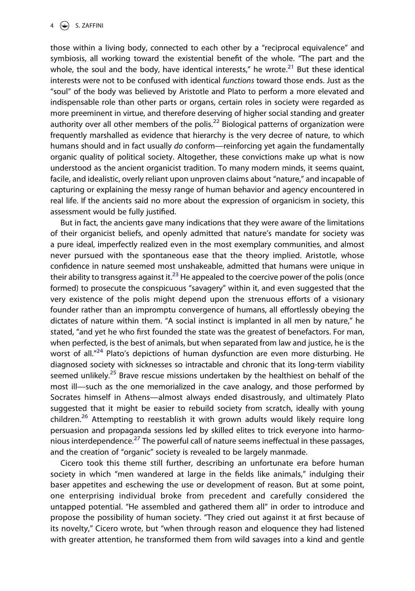those within a living body, connected to each other by a "reciprocal equivalence" and symbiosis, all working toward the existential benefit of the whole. "The part and the whole, the soul and the body, have identical interests," he wrote.<sup>21</sup> But these identical interests were not to be confused with identical *functions* toward those ends. Just as the "soul" of the body was believed by Aristotle and Plato to perform a more elevated and indispensable role than other parts or organs, certain roles in society were regarded as more preeminent in virtue, and therefore deserving of higher social standing and greater authority over all other members of the polis.<sup>[22](#page-22-8)</sup> Biological patterns of organization were frequently marshalled as evidence that hierarchy is the very decree of nature, to which humans should and in fact usually *do* conform—reinforcing yet again the fundamentally organic quality of political society. Altogether, these convictions make up what is now understood as the ancient organicist tradition. To many modern minds, it seems quaint, facile, and idealistic, overly reliant upon unproven claims about "nature," and incapable of capturing or explaining the messy range of human behavior and agency encountered in real life. If the ancients said no more about the expression of organicism in society, this assessment would be fully justified.

But in fact, the ancients gave many indications that they were aware of the limitations of their organicist beliefs, and openly admitted that nature's mandate for society was a pure ideal, imperfectly realized even in the most exemplary communities, and almost never pursued with the spontaneous ease that the theory implied. Aristotle, whose confidence in nature seemed most unshakeable, admitted that humans were unique in their ability to transgress against it.<sup>[23](#page-22-9)</sup> He appealed to the coercive power of the polis (once formed) to prosecute the conspicuous "savagery" within it, and even suggested that the very existence of the polis might depend upon the strenuous efforts of a visionary founder rather than an impromptu convergence of humans, all effortlessly obeying the dictates of nature within them. "A social instinct is implanted in all men by nature," he stated, "and yet he who first founded the state was the greatest of benefactors. For man, when perfected, is the best of animals, but when separated from law and justice, he is the worst of all."<sup>24</sup> Plato's depictions of human dysfunction are even more disturbing. He diagnosed society with sicknesses so intractable and chronic that its long-term viability seemed unlikely.<sup>[25](#page-22-11)</sup> Brave rescue missions undertaken by the healthiest on behalf of the most ill—such as the one memorialized in the cave analogy, and those performed by Socrates himself in Athens—almost always ended disastrously, and ultimately Plato suggested that it might be easier to rebuild society from scratch, ideally with young children.<sup>26</sup> Attempting to reestablish it with grown adults would likely require long persuasion and propaganda sessions led by skilled elites to trick everyone into harmonious interdependence.<sup>27</sup> The powerful call of nature seems ineffectual in these passages, and the creation of "organic" society is revealed to be largely manmade.

Cicero took this theme still further, describing an unfortunate era before human society in which "men wandered at large in the fields like animals," indulging their baser appetites and eschewing the use or development of reason. But at some point, one enterprising individual broke from precedent and carefully considered the untapped potential. "He assembled and gathered them all" in order to introduce and propose the possibility of human society. "They cried out against it at first because of its novelty," Cicero wrote, but "when through reason and eloquence they had listened with greater attention, he transformed them from wild savages into a kind and gentle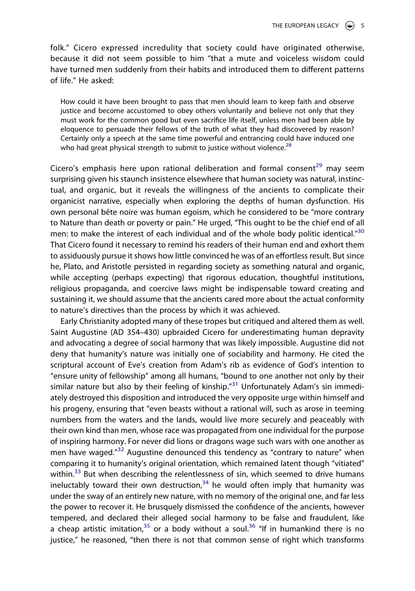folk." Cicero expressed incredulity that society could have originated otherwise, because it did not seem possible to him "that a mute and voiceless wisdom could have turned men suddenly from their habits and introduced them to different patterns of life." He asked:

How could it have been brought to pass that men should learn to keep faith and observe justice and become accustomed to obey others voluntarily and believe not only that they must work for the common good but even sacrifice life itself, unless men had been able by eloquence to persuade their fellows of the truth of what they had discovered by reason? Certainly only a speech at the same time powerful and entrancing could have induced one who had great physical strength to submit to justice without violence.<sup>[28](#page-22-14)</sup>

Cicero's emphasis here upon rational deliberation and formal consent<sup>[29](#page-22-15)</sup> may seem surprising given his staunch insistence elsewhere that human society was natural, instinctual, and organic, but it reveals the willingness of the ancients to complicate their organicist narrative, especially when exploring the depths of human dysfunction. His own personal bête noire was human egoism, which he considered to be "more contrary to Nature than death or poverty or pain." He urged, "This ought to be the chief end of all men: to make the interest of each individual and of the whole body politic identical."<sup>30</sup> That Cicero found it necessary to remind his readers of their human end and exhort them to assiduously pursue it shows how little convinced he was of an effortless result. But since he, Plato, and Aristotle persisted in regarding society as something natural and organic, while accepting (perhaps expecting) that rigorous education, thoughtful institutions, religious propaganda, and coercive laws might be indispensable toward creating and sustaining it, we should assume that the ancients cared more about the actual conformity to nature's directives than the process by which it was achieved.

Early Christianity adopted many of these tropes but critiqued and altered them as well. Saint Augustine (AD 354–430) upbraided Cicero for underestimating human depravity and advocating a degree of social harmony that was likely impossible. Augustine did not deny that humanity's nature was initially one of sociability and harmony. He cited the scriptural account of Eve's creation from Adam's rib as evidence of God's intention to "ensure unity of fellowship" among all humans, "bound to one another not only by their similar nature but also by their feeling of kinship. $n^{31}$  Unfortunately Adam's sin immediately destroyed this disposition and introduced the very opposite urge within himself and his progeny, ensuring that "even beasts without a rational will, such as arose in teeming numbers from the waters and the lands, would live more securely and peaceably with their own kind than men, whose race was propagated from one individual for the purpose of inspiring harmony. For never did lions or dragons wage such wars with one another as men have waged."<sup>[32](#page-22-18)</sup> Augustine denounced this tendency as "contrary to nature" when comparing it to humanity's original orientation, which remained latent though "vitiated" within. $33$  But when describing the relentlessness of sin, which seemed to drive humans ineluctably toward their own destruction, $34$  he would often imply that humanity was under the sway of an entirely new nature, with no memory of the original one, and far less the power to recover it. He brusquely dismissed the confidence of the ancients, however tempered, and declared their alleged social harmony to be false and fraudulent, like a cheap artistic imitation,  $35$  or a body without a soul.  $36$  "If in humankind there is no justice," he reasoned, "then there is not that common sense of right which transforms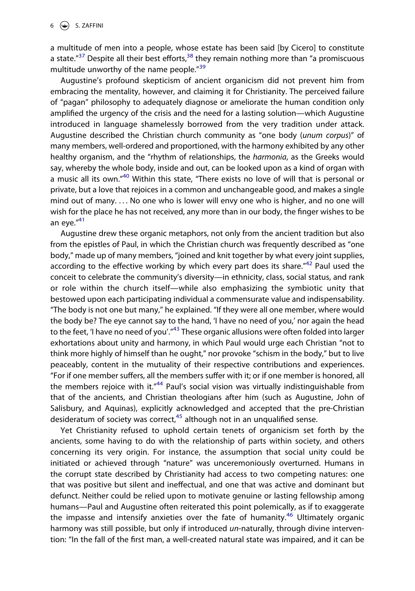a multitude of men into a people, whose estate has been said [by Cicero] to constitute a state. $"^{37}$  Despite all their best efforts, $^{38}$  they remain nothing more than "a promiscuous multitude unworthy of the name people."<sup>[39](#page-22-25)</sup>

Augustine's profound skepticism of ancient organicism did not prevent him from embracing the mentality, however, and claiming it for Christianity. The perceived failure of "pagan" philosophy to adequately diagnose or ameliorate the human condition only amplified the urgency of the crisis and the need for a lasting solution—which Augustine introduced in language shamelessly borrowed from the very tradition under attack. Augustine described the Christian church community as "one body (*unum corpus*)" of many members, well-ordered and proportioned, with the harmony exhibited by any other healthy organism, and the "rhythm of relationships, the *harmonia*, as the Greeks would say, whereby the whole body, inside and out, can be looked upon as a kind of organ with a music all its own.["40](#page-22-26) Within this state, "There exists no love of will that is personal or private, but a love that rejoices in a common and unchangeable good, and makes a single mind out of many. . . . No one who is lower will envy one who is higher, and no one will wish for the place he has not received, any more than in our body, the finger wishes to be an eye."<sup>41</sup>

Augustine drew these organic metaphors, not only from the ancient tradition but also from the epistles of Paul, in which the Christian church was frequently described as "one body," made up of many members, "joined and knit together by what every joint supplies, according to the effective working by which every part does its share." $42$  Paul used the conceit to celebrate the community's diversity—in ethnicity, class, social status, and rank or role within the church itself—while also emphasizing the symbiotic unity that bestowed upon each participating individual a commensurate value and indispensability. "The body is not one but many," he explained. "If they were all one member, where would the body be? The eye cannot say to the hand, 'I have no need of you,' nor again the head to the feet, 'I have no need of you'."<sup>43</sup> These organic allusions were often folded into larger exhortations about unity and harmony, in which Paul would urge each Christian "not to think more highly of himself than he ought," nor provoke "schism in the body," but to live peaceably, content in the mutuality of their respective contributions and experiences. "For if one member suffers, all the members suffer with it; or if one member is honored, all the members rejoice with it. $n44$  Paul's social vision was virtually indistinguishable from that of the ancients, and Christian theologians after him (such as Augustine, John of Salisbury, and Aquinas), explicitly acknowledged and accepted that the pre-Christian desideratum of society was correct, $45$  although not in an unqualified sense.

Yet Christianity refused to uphold certain tenets of organicism set forth by the ancients, some having to do with the relationship of parts within society, and others concerning its very origin. For instance, the assumption that social unity could be initiated or achieved through "nature" was unceremoniously overturned. Humans in the corrupt state described by Christianity had access to two competing natures: one that was positive but silent and ineffectual, and one that was active and dominant but defunct. Neither could be relied upon to motivate genuine or lasting fellowship among humans—Paul and Augustine often reiterated this point polemically, as if to exaggerate the impasse and intensify anxieties over the fate of humanity.<sup>[46](#page-22-32)</sup> Ultimately organic harmony was still possible, but only if introduced *un*-naturally, through divine intervention: "In the fall of the first man, a well-created natural state was impaired, and it can be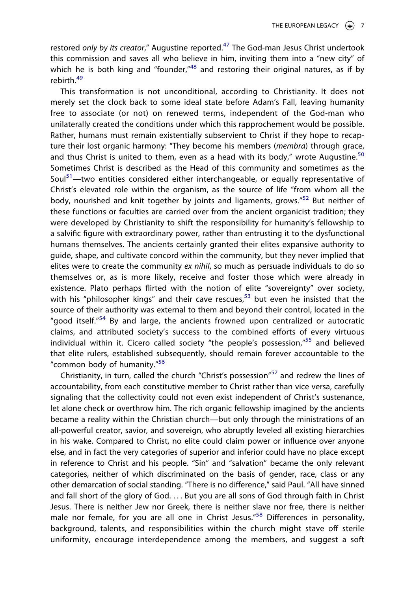restored *only by its creator*," Augustine reported.<sup>[47](#page-23-0)</sup> The God-man Jesus Christ undertook this commission and saves all who believe in him, inviting them into a "new city" of which he is both king and "founder,"<sup>48</sup> and restoring their original natures, as if by rebirth.<sup>[49](#page-23-2)</sup>

This transformation is not unconditional, according to Christianity. It does not merely set the clock back to some ideal state before Adam's Fall, leaving humanity free to associate (or not) on renewed terms, independent of the God-man who unilaterally created the conditions under which this rapprochement would be possible. Rather, humans must remain existentially subservient to Christ if they hope to recapture their lost organic harmony: "They become his members (*membra*) through grace, and thus Christ is united to them, even as a head with its body." wrote Augustine.<sup>[50](#page-23-3)</sup> Sometimes Christ is described as the Head of this community and sometimes as the Soul<sup>[51](#page-23-4)</sup>—two entities considered either interchangeable, or equally representative of Christ's elevated role within the organism, as the source of life "from whom all the body, nourished and knit together by joints and ligaments, grows."[52](#page-23-5) But neither of these functions or faculties are carried over from the ancient organicist tradition; they were developed by Christianity to shift the responsibility for humanity's fellowship to a salvific figure with extraordinary power, rather than entrusting it to the dysfunctional humans themselves. The ancients certainly granted their elites expansive authority to guide, shape, and cultivate concord within the community, but they never implied that elites were to create the community *ex nihil*, so much as persuade individuals to do so themselves or, as is more likely, receive and foster those which were already in existence. Plato perhaps flirted with the notion of elite "sovereignty" over society, with his "philosopher kings" and their cave rescues, $53$  but even he insisted that the source of their authority was external to them and beyond their control, located in the "good itself."<sup>54</sup> By and large, the ancients frowned upon centralized or autocratic claims, and attributed society's success to the combined efforts of every virtuous individual within it. Cicero called society "the people's possession,"<sup>55</sup> and believed that elite rulers, established subsequently, should remain forever accountable to the "common body of humanity."[56](#page-23-9)

Christianity, in turn, called the church "Christ's possession"<sup>[57](#page-23-10)</sup> and redrew the lines of accountability, from each constitutive member to Christ rather than vice versa, carefully signaling that the collectivity could not even exist independent of Christ's sustenance, let alone check or overthrow him. The rich organic fellowship imagined by the ancients became a reality within the Christian church—but only through the ministrations of an all-powerful creator, savior, and sovereign, who abruptly leveled all existing hierarchies in his wake. Compared to Christ, no elite could claim power or influence over anyone else, and in fact the very categories of superior and inferior could have no place except in reference to Christ and his people. "Sin" and "salvation" became the only relevant categories, neither of which discriminated on the basis of gender, race, class or any other demarcation of social standing. "There is no difference," said Paul. "All have sinned and fall short of the glory of God. . . . But you are all sons of God through faith in Christ Jesus. There is neither Jew nor Greek, there is neither slave nor free, there is neither male nor female, for you are all one in Christ Jesus."<sup>[58](#page-23-11)</sup> Differences in personality, background, talents, and responsibilities within the church might stave off sterile uniformity, encourage interdependence among the members, and suggest a soft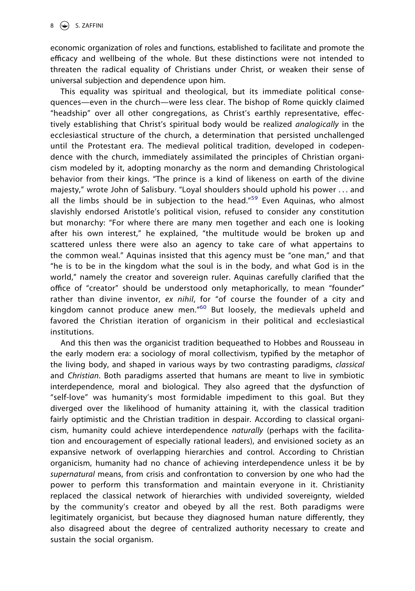economic organization of roles and functions, established to facilitate and promote the efficacy and wellbeing of the whole. But these distinctions were not intended to threaten the radical equality of Christians under Christ, or weaken their sense of universal subjection and dependence upon him.

This equality was spiritual and theological, but its immediate political consequences—even in the church—were less clear. The bishop of Rome quickly claimed "headship" over all other congregations, as Christ's earthly representative, effectively establishing that Christ's spiritual body would be realized *analogically* in the ecclesiastical structure of the church, a determination that persisted unchallenged until the Protestant era. The medieval political tradition, developed in codependence with the church, immediately assimilated the principles of Christian organicism modeled by it, adopting monarchy as the norm and demanding Christological behavior from their kings. "The prince is a kind of likeness on earth of the divine majesty," wrote John of Salisbury. "Loyal shoulders should uphold his power . . . and all the limbs should be in subjection to the head."<sup>59</sup> Even Aquinas, who almost slavishly endorsed Aristotle's political vision, refused to consider any constitution but monarchy: "For where there are many men together and each one is looking after his own interest," he explained, "the multitude would be broken up and scattered unless there were also an agency to take care of what appertains to the common weal." Aquinas insisted that this agency must be "one man," and that "he is to be in the kingdom what the soul is in the body, and what God is in the world," namely the creator and sovereign ruler. Aquinas carefully clarified that the office of "creator" should be understood only metaphorically, to mean "founder" rather than divine inventor, *ex nihil*, for "of course the founder of a city and kingdom cannot produce anew men."<sup>60</sup> But loosely, the medievals upheld and favored the Christian iteration of organicism in their political and ecclesiastical institutions.

And this then was the organicist tradition bequeathed to Hobbes and Rousseau in the early modern era: a sociology of moral collectivism, typified by the metaphor of the living body, and shaped in various ways by two contrasting paradigms, *classical*  and *Christian*. Both paradigms asserted that humans are meant to live in symbiotic interdependence, moral and biological. They also agreed that the dysfunction of "self-love" was humanity's most formidable impediment to this goal. But they diverged over the likelihood of humanity attaining it, with the classical tradition fairly optimistic and the Christian tradition in despair. According to classical organicism, humanity could achieve interdependence *naturally* (perhaps with the facilitation and encouragement of especially rational leaders), and envisioned society as an expansive network of overlapping hierarchies and control. According to Christian organicism, humanity had no chance of achieving interdependence unless it be by *supernatural* means, from crisis and confrontation to conversion by one who had the power to perform this transformation and maintain everyone in it. Christianity replaced the classical network of hierarchies with undivided sovereignty, wielded by the community's creator and obeyed by all the rest. Both paradigms were legitimately organicist, but because they diagnosed human nature differently, they also disagreed about the degree of centralized authority necessary to create and sustain the social organism.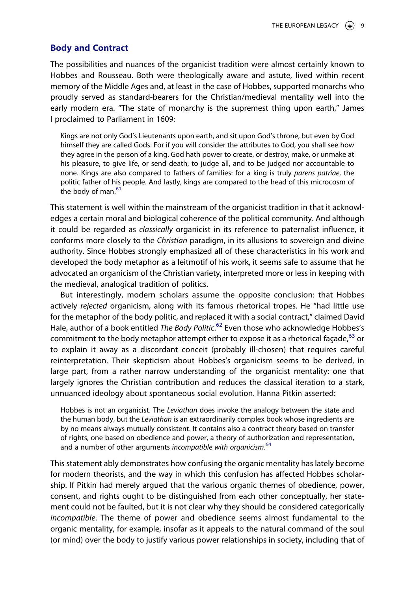#### **Body and Contract**

The possibilities and nuances of the organicist tradition were almost certainly known to Hobbes and Rousseau. Both were theologically aware and astute, lived within recent memory of the Middle Ages and, at least in the case of Hobbes, supported monarchs who proudly served as standard-bearers for the Christian/medieval mentality well into the early modern era. "The state of monarchy is the supremest thing upon earth," James I proclaimed to Parliament in 1609:

Kings are not only God's Lieutenants upon earth, and sit upon God's throne, but even by God himself they are called Gods. For if you will consider the attributes to God, you shall see how they agree in the person of a king. God hath power to create, or destroy, make, or unmake at his pleasure, to give life, or send death, to judge all, and to be judged nor accountable to none. Kings are also compared to fathers of families: for a king is truly *parens patriae*, the politic father of his people. And lastly, kings are compared to the head of this microcosm of the body of man.<sup>[61](#page-23-14)</sup>

This statement is well within the mainstream of the organicist tradition in that it acknowledges a certain moral and biological coherence of the political community. And although it could be regarded as *classically* organicist in its reference to paternalist influence, it conforms more closely to the *Christian* paradigm, in its allusions to sovereign and divine authority. Since Hobbes strongly emphasized all of these characteristics in his work and developed the body metaphor as a leitmotif of his work, it seems safe to assume that he advocated an organicism of the Christian variety, interpreted more or less in keeping with the medieval, analogical tradition of politics.

But interestingly, modern scholars assume the opposite conclusion: that Hobbes actively *rejected* organicism, along with its famous rhetorical tropes. He "had little use for the metaphor of the body politic, and replaced it with a social contract," claimed David Hale, author of a book entitled *The Body Politic*. [62](#page-23-15) Even those who acknowledge Hobbes's commitment to the body metaphor attempt either to expose it as a rhetorical façade,  $63$  or to explain it away as a discordant conceit (probably ill-chosen) that requires careful reinterpretation. Their skepticism about Hobbes's organicism seems to be derived, in large part, from a rather narrow understanding of the organicist mentality: one that largely ignores the Christian contribution and reduces the classical iteration to a stark, unnuanced ideology about spontaneous social evolution. Hanna Pitkin asserted:

Hobbes is not an organicist. The *Leviathan* does invoke the analogy between the state and the human body, but the *Leviathan* is an extraordinarily complex book whose ingredients are by no means always mutually consistent. It contains also a contract theory based on transfer of rights, one based on obedience and power, a theory of authorization and representation, and a number of other arguments *incompatible with organicism*. [64](#page-23-17)

This statement ably demonstrates how confusing the organic mentality has lately become for modern theorists, and the way in which this confusion has affected Hobbes scholarship. If Pitkin had merely argued that the various organic themes of obedience, power, consent, and rights ought to be distinguished from each other conceptually, her statement could not be faulted, but it is not clear why they should be considered categorically *incompatible*. The theme of power and obedience seems almost fundamental to the organic mentality, for example, insofar as it appeals to the natural command of the soul (or mind) over the body to justify various power relationships in society, including that of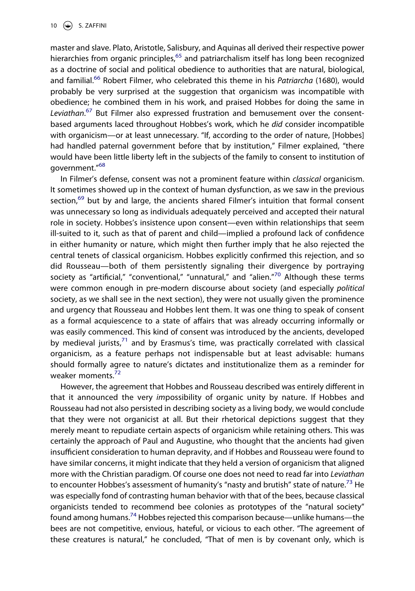master and slave. Plato, Aristotle, Salisbury, and Aquinas all derived their respective power hierarchies from organic principles,<sup>[65](#page-23-18)</sup> and patriarchalism itself has long been recognized as a doctrine of social and political obedience to authorities that are natural, biological, and familial.[66](#page-23-19) Robert Filmer, who celebrated this theme in his *Patriarcha* (1680), would probably be very surprised at the suggestion that organicism was incompatible with obedience; he combined them in his work, and praised Hobbes for doing the same in *Leviathan*. [67](#page-23-20) But Filmer also expressed frustration and bemusement over the consentbased arguments laced throughout Hobbes's work, which he *did* consider incompatible with organicism—or at least unnecessary. "If, according to the order of nature, [Hobbes] had handled paternal government before that by institution," Filmer explained, "there would have been little liberty left in the subjects of the family to consent to institution of government."[68](#page-23-21)

In Filmer's defense, consent was not a prominent feature within *classical* organicism. It sometimes showed up in the context of human dysfunction, as we saw in the previous section, $69$  but by and large, the ancients shared Filmer's intuition that formal consent was unnecessary so long as individuals adequately perceived and accepted their natural role in society. Hobbes's insistence upon consent—even within relationships that seem ill-suited to it, such as that of parent and child—implied a profound lack of confidence in either humanity or nature, which might then further imply that he also rejected the central tenets of classical organicism. Hobbes explicitly confirmed this rejection, and so did Rousseau—both of them persistently signaling their divergence by portraying society as "artificial," "conventional," "unnatural," and "alien."<sup>70</sup> Although these terms were common enough in pre-modern discourse about society (and especially *political*  society, as we shall see in the next section), they were not usually given the prominence and urgency that Rousseau and Hobbes lent them. It was one thing to speak of consent as a formal acquiescence to a state of affairs that was already occurring informally or was easily commenced. This kind of consent was introduced by the ancients, developed by medieval jurists, $71$  and by Erasmus's time, was practically correlated with classical organicism, as a feature perhaps not indispensable but at least advisable: humans should formally agree to nature's dictates and institutionalize them as a reminder for weaker moments.<sup>[72](#page-24-0)</sup>

However, the agreement that Hobbes and Rousseau described was entirely different in that it announced the very *im*possibility of organic unity by nature. If Hobbes and Rousseau had not also persisted in describing society as a living body, we would conclude that they were not organicist at all. But their rhetorical depictions suggest that they merely meant to repudiate certain aspects of organicism while retaining others. This was certainly the approach of Paul and Augustine, who thought that the ancients had given insufficient consideration to human depravity, and if Hobbes and Rousseau were found to have similar concerns, it might indicate that they held a version of organicism that aligned more with the Christian paradigm. Of course one does not need to read far into *Leviathan*  to encounter Hobbes's assessment of humanity's "nasty and brutish" state of nature.<sup>[73](#page-24-1)</sup> He was especially fond of contrasting human behavior with that of the bees, because classical organicists tended to recommend bee colonies as prototypes of the "natural society" found among humans.<sup>[74](#page-24-2)</sup> Hobbes rejected this comparison because—unlike humans—the bees are not competitive, envious, hateful, or vicious to each other. "The agreement of these creatures is natural," he concluded, "That of men is by covenant only, which is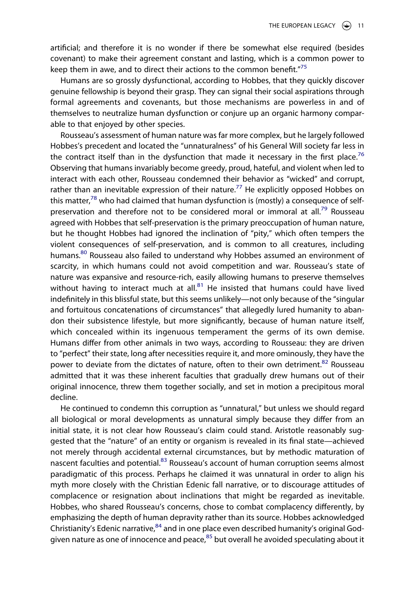artificial; and therefore it is no wonder if there be somewhat else required (besides covenant) to make their agreement constant and lasting, which is a common power to keep them in awe, and to direct their actions to the common benefit." $75$ 

Humans are so grossly dysfunctional, according to Hobbes, that they quickly discover genuine fellowship is beyond their grasp. They can signal their social aspirations through formal agreements and covenants, but those mechanisms are powerless in and of themselves to neutralize human dysfunction or conjure up an organic harmony comparable to that enjoyed by other species.

Rousseau's assessment of human nature was far more complex, but he largely followed Hobbes's precedent and located the "unnaturalness" of his General Will society far less in the contract itself than in the dysfunction that made it necessary in the first place.<sup>[76](#page-24-4)</sup> Observing that humans invariably become greedy, proud, hateful, and violent when led to interact with each other, Rousseau condemned their behavior as "wicked" and corrupt, rather than an inevitable expression of their nature.<sup>[77](#page-24-5)</sup> He explicitly opposed Hobbes on this matter, $78$  who had claimed that human dysfunction is (mostly) a consequence of self-preservation and therefore not to be considered moral or immoral at all.<sup>[79](#page-24-7)</sup> Rousseau agreed with Hobbes that self-preservation is the primary preoccupation of human nature, but he thought Hobbes had ignored the inclination of "pity," which often tempers the violent consequences of self-preservation, and is common to all creatures, including humans.<sup>80</sup> Rousseau also failed to understand why Hobbes assumed an environment of scarcity, in which humans could not avoid competition and war. Rousseau's state of nature was expansive and resource-rich, easily allowing humans to preserve themselves without having to interact much at all. $81$  He insisted that humans could have lived indefinitely in this blissful state, but this seems unlikely—not only because of the "singular and fortuitous concatenations of circumstances" that allegedly lured humanity to abandon their subsistence lifestyle, but more significantly, because of human nature itself, which concealed within its ingenuous temperament the germs of its own demise. Humans differ from other animals in two ways, according to Rousseau: they are driven to "perfect" their state, long after necessities require it, and more ominously, they have the power to deviate from the dictates of nature, often to their own detriment. $82$  Rousseau admitted that it was these inherent faculties that gradually drew humans out of their original innocence, threw them together socially, and set in motion a precipitous moral decline.

He continued to condemn this corruption as "unnatural," but unless we should regard all biological or moral developments as unnatural simply because they differ from an initial state, it is not clear how Rousseau's claim could stand. Aristotle reasonably suggested that the "nature" of an entity or organism is revealed in its final state—achieved not merely through accidental external circumstances, but by methodic maturation of nascent faculties and potential.<sup>83</sup> Rousseau's account of human corruption seems almost paradigmatic of this process. Perhaps he claimed it was unnatural in order to align his myth more closely with the Christian Edenic fall narrative, or to discourage attitudes of complacence or resignation about inclinations that might be regarded as inevitable. Hobbes, who shared Rousseau's concerns, chose to combat complacency differently, by emphasizing the depth of human depravity rather than its source. Hobbes acknowledged Christianity's Edenic narrative, $84$  and in one place even described humanity's original Godgiven nature as one of innocence and peace, $85$  but overall he avoided speculating about it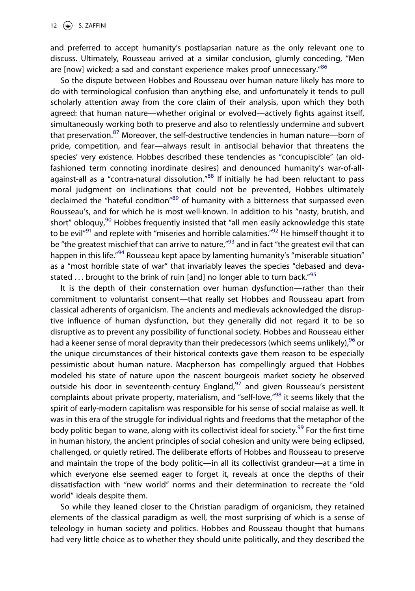and preferred to accept humanity's postlapsarian nature as the only relevant one to discuss. Ultimately, Rousseau arrived at a similar conclusion, glumly conceding, "Men are [now] wicked; a sad and constant experience makes proof unnecessary."<sup>[86](#page-24-14)</sup>

So the dispute between Hobbes and Rousseau over human nature likely has more to do with terminological confusion than anything else, and unfortunately it tends to pull scholarly attention away from the core claim of their analysis, upon which they both agreed: that human nature—whether original or evolved—actively fights against itself, simultaneously working both to preserve and also to relentlessly undermine and subvert that preservation.<sup>87</sup> Moreover, the self-destructive tendencies in human nature—born of pride, competition, and fear—always result in antisocial behavior that threatens the species' very existence. Hobbes described these tendencies as "concupiscible" (an oldfashioned term connoting inordinate desires) and denounced humanity's war-of-all-against-all as a "contra-natural dissolution."<sup>[88](#page-24-16)</sup> If initially he had been reluctant to pass moral judgment on inclinations that could not be prevented, Hobbes ultimately declaimed the "hateful condition"<sup>[89](#page-24-17)</sup> of humanity with a bitterness that surpassed even Rousseau's, and for which he is most well-known. In addition to his "nasty, brutish, and short" obloquy,<sup>90</sup> Hobbes frequently insisted that "all men easily acknowledge this state to be evil<sup>"91</sup> and replete with "miseries and horrible calamities."<sup>[92](#page-24-20)</sup> He himself thought it to be "the greatest mischief that can arrive to nature,"<sup>93</sup> and in fact "the greatest evil that can happen in this life.<sup>"[94](#page-24-22)</sup> Rousseau kept apace by lamenting humanity's "miserable situation" as a "most horrible state of war" that invariably leaves the species "debased and devastated  $\ldots$  brought to the brink of ruin [and] no longer able to turn back."<sup>[95](#page-24-23)</sup>

It is the depth of their consternation over human dysfunction—rather than their commitment to voluntarist consent—that really set Hobbes and Rousseau apart from classical adherents of organicism. The ancients and medievals acknowledged the disruptive influence of human dysfunction, but they generally did not regard it to be so disruptive as to prevent any possibility of functional society. Hobbes and Rousseau either had a keener sense of moral depravity than their predecessors (which seems unlikely),  $96$  or the unique circumstances of their historical contexts gave them reason to be especially pessimistic about human nature. Macpherson has compellingly argued that Hobbes modeled his state of nature upon the nascent bourgeois market society he observed outside his door in seventeenth-century England, $97$  and given Rousseau's persistent complaints about private property, materialism, and "self-love,"<sup>98</sup> it seems likely that the spirit of early-modern capitalism was responsible for his sense of social malaise as well. It was in this era of the struggle for individual rights and freedoms that the metaphor of the body politic began to wane, along with its collectivist ideal for society.<sup>[99](#page-24-27)</sup> For the first time in human history, the ancient principles of social cohesion and unity were being eclipsed, challenged, or quietly retired. The deliberate efforts of Hobbes and Rousseau to preserve and maintain the trope of the body politic—in all its collectivist grandeur—at a time in which everyone else seemed eager to forget it, reveals at once the depths of their dissatisfaction with "new world" norms and their determination to recreate the "old world" ideals despite them.

So while they leaned closer to the Christian paradigm of organicism, they retained elements of the classical paradigm as well, the most surprising of which is a sense of teleology in human society and politics. Hobbes and Rousseau thought that humans had very little choice as to whether they should unite politically, and they described the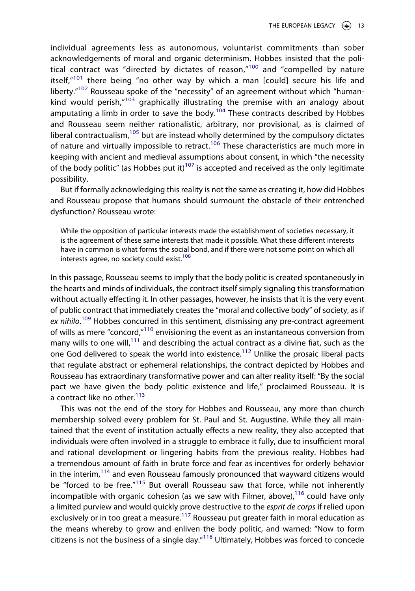individual agreements less as autonomous, voluntarist commitments than sober acknowledgements of moral and organic determinism. Hobbes insisted that the political contract was "directed by dictates of reason, $n^{100}$  and "compelled by nature itself, $n^{101}$  $n^{101}$  $n^{101}$  there being "no other way by which a man [could] secure his life and liberty."<sup>102</sup> Rousseau spoke of the "necessity" of an agreement without which "humankind would perish, $n^{103}$  graphically illustrating the premise with an analogy about amputating a limb in order to save the body.<sup>[104](#page-24-32)</sup> These contracts described by Hobbes and Rousseau seem neither rationalistic, arbitrary, nor provisional, as is claimed of liberal contractualism, $105$  but are instead wholly determined by the compulsory dictates of nature and virtually impossible to retract.<sup>106</sup> These characteristics are much more in keeping with ancient and medieval assumptions about consent, in which "the necessity of the body politic" (as Hobbes put it)<sup>[107](#page-24-35)</sup> is accepted and received as the only legitimate possibility.

But if formally acknowledging this reality is not the same as creating it, how did Hobbes and Rousseau propose that humans should surmount the obstacle of their entrenched dysfunction? Rousseau wrote:

While the opposition of particular interests made the establishment of societies necessary, it is the agreement of these same interests that made it possible. What these different interests have in common is what forms the social bond, and if there were not some point on which all interests agree, no society could exist.<sup>[108](#page-24-36)</sup>

In this passage, Rousseau seems to imply that the body politic is created spontaneously in the hearts and minds of individuals, the contract itself simply signaling this transformation without actually effecting it. In other passages, however, he insists that it is the very event of public contract that immediately creates the "moral and collective body" of society, as if ex nihilo.<sup>[109](#page-24-37)</sup> Hobbes concurred in this sentiment, dismissing any pre-contract agreement of wills as mere "concord,"[110](#page-24-38) envisioning the event as an instantaneous conversion from many wills to one will,<sup>111</sup> and describing the actual contract as a divine fiat, such as the one God delivered to speak the world into existence.<sup>112</sup> Unlike the prosaic liberal pacts that regulate abstract or ephemeral relationships, the contract depicted by Hobbes and Rousseau has extraordinary transformative power and can alter reality itself: "By the social pact we have given the body politic existence and life," proclaimed Rousseau. It is a contract like no other. $113$ 

This was not the end of the story for Hobbes and Rousseau, any more than church membership solved every problem for St. Paul and St. Augustine. While they all maintained that the event of institution actually effects a new reality, they also accepted that individuals were often involved in a struggle to embrace it fully, due to insufficient moral and rational development or lingering habits from the previous reality. Hobbes had a tremendous amount of faith in brute force and fear as incentives for orderly behavior in the interim, $114$  and even Rousseau famously pronounced that wayward citizens would be "forced to be free."<sup>115</sup> But overall Rousseau saw that force, while not inherently incompatible with organic cohesion (as we saw with Filmer, above), $116$  could have only a limited purview and would quickly prove destructive to the *esprit de corps* if relied upon exclusively or in too great a measure.<sup>[117](#page-25-5)</sup> Rousseau put greater faith in moral education as the means whereby to grow and enliven the body politic, and warned: "Now to form citizens is not the business of a single day." $118$  Ultimately, Hobbes was forced to concede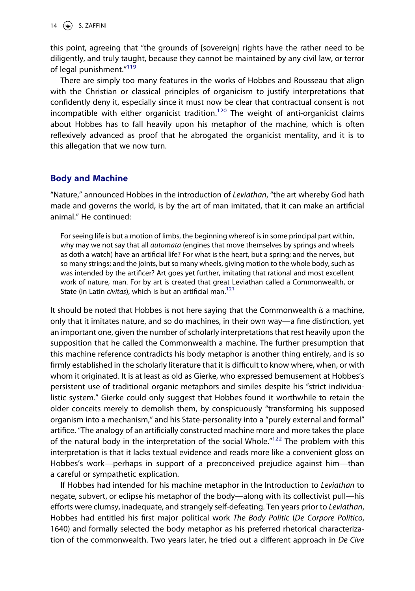14  $\left(\bigstar\right)$  S. ZAFFINI

this point, agreeing that "the grounds of [sovereign] rights have the rather need to be diligently, and truly taught, because they cannot be maintained by any civil law, or terror of legal punishment."<sup>[119](#page-25-7)</sup>

There are simply too many features in the works of Hobbes and Rousseau that align with the Christian or classical principles of organicism to justify interpretations that confidently deny it, especially since it must now be clear that contractual consent is not incompatible with either organicist tradition.<sup>120</sup> The weight of anti-organicist claims about Hobbes has to fall heavily upon his metaphor of the machine, which is often reflexively advanced as proof that he abrogated the organicist mentality, and it is to this allegation that we now turn.

# **Body and Machine**

"Nature," announced Hobbes in the introduction of *Leviathan*, "the art whereby God hath made and governs the world, is by the art of man imitated, that it can make an artificial animal." He continued:

For seeing life is but a motion of limbs, the beginning whereof is in some principal part within, why may we not say that all *automata* (engines that move themselves by springs and wheels as doth a watch) have an artificial life? For what is the heart, but a spring; and the nerves, but so many strings; and the joints, but so many wheels, giving motion to the whole body, such as was intended by the artificer? Art goes yet further, imitating that rational and most excellent work of nature, man. For by art is created that great Leviathan called a Commonwealth, or State (in Latin *civitas*), which is but an artificial man.[121](#page-25-9)

It should be noted that Hobbes is not here saying that the Commonwealth *is* a machine, only that it imitates nature, and so do machines, in their own way—a fine distinction, yet an important one, given the number of scholarly interpretations that rest heavily upon the supposition that he called the Commonwealth a machine. The further presumption that this machine reference contradicts his body metaphor is another thing entirely, and is so firmly established in the scholarly literature that it is difficult to know where, when, or with whom it originated. It is at least as old as Gierke, who expressed bemusement at Hobbes's persistent use of traditional organic metaphors and similes despite his "strict individualistic system." Gierke could only suggest that Hobbes found it worthwhile to retain the older conceits merely to demolish them, by conspicuously "transforming his supposed organism into a mechanism," and his State-personality into a "purely external and formal" artifice. "The analogy of an artificially constructed machine more and more takes the place of the natural body in the interpretation of the social Whole."<sup>[122](#page-25-10)</sup> The problem with this interpretation is that it lacks textual evidence and reads more like a convenient gloss on Hobbes's work—perhaps in support of a preconceived prejudice against him—than a careful or sympathetic explication.

If Hobbes had intended for his machine metaphor in the Introduction to *Leviathan* to negate, subvert, or eclipse his metaphor of the body—along with its collectivist pull—his efforts were clumsy, inadequate, and strangely self-defeating. Ten years prior to *Leviathan*, Hobbes had entitled his first major political work *The Body Politic* (*De Corpore Politico*, 1640) and formally selected the body metaphor as his preferred rhetorical characterization of the commonwealth. Two years later, he tried out a different approach in *De Cive*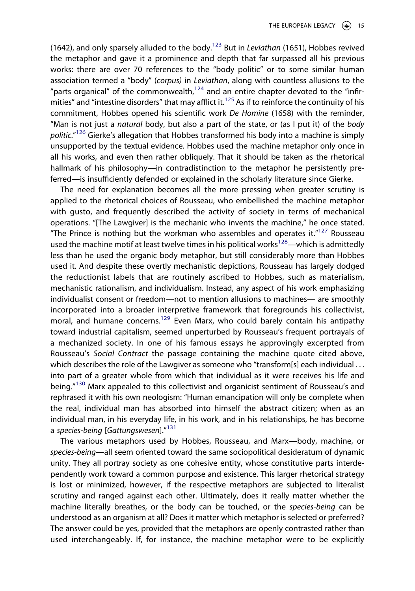(1642), and only sparsely alluded to the body[.123](#page-25-11) But in *Leviathan* (1651), Hobbes revived the metaphor and gave it a prominence and depth that far surpassed all his previous works: there are over 70 references to the "body politic" or to some similar human association termed a "body" (*corpus)* in *Leviathan*, along with countless allusions to the "parts organical" of the commonwealth, $124$  and an entire chapter devoted to the "infirmities" and "intestine disorders" that may afflict it.<sup>125</sup> As if to reinforce the continuity of his commitment, Hobbes opened his scientific work *De Homine* (1658) with the reminder, "Man is not just a *natural* body, but also a part of the state, or (as I put it) of the *body politic*."[126](#page-25-14) Gierke's allegation that Hobbes transformed his body into a machine is simply unsupported by the textual evidence. Hobbes used the machine metaphor only once in all his works, and even then rather obliquely. That it should be taken as the rhetorical hallmark of his philosophy—in contradistinction to the metaphor he persistently preferred—is insufficiently defended or explained in the scholarly literature since Gierke.

The need for explanation becomes all the more pressing when greater scrutiny is applied to the rhetorical choices of Rousseau, who embellished the machine metaphor with gusto, and frequently described the activity of society in terms of mechanical operations. "[The Lawgiver] is the mechanic who invents the machine," he once stated. "The Prince is nothing but the workman who assembles and operates it. $"^{127}$  Rousseau used the machine motif at least twelve times in his political works<sup>[128](#page-25-16)</sup>—which is admittedly less than he used the organic body metaphor, but still considerably more than Hobbes used it. And despite these overtly mechanistic depictions, Rousseau has largely dodged the reductionist labels that are routinely ascribed to Hobbes, such as materialism, mechanistic rationalism, and individualism. Instead, any aspect of his work emphasizing individualist consent or freedom—not to mention allusions to machines— are smoothly incorporated into a broader interpretive framework that foregrounds his collectivist, moral, and humane concerns.<sup>129</sup> Even Marx, who could barely contain his antipathy toward industrial capitalism, seemed unperturbed by Rousseau's frequent portrayals of a mechanized society. In one of his famous essays he approvingly excerpted from Rousseau's *Social Contract* the passage containing the machine quote cited above, which describes the role of the Lawgiver as someone who "transform[s] each individual . . . into part of a greater whole from which that individual as it were receives his life and being."<sup>[130](#page-25-18)</sup> Marx appealed to this collectivist and organicist sentiment of Rousseau's and rephrased it with his own neologism: "Human emancipation will only be complete when the real, individual man has absorbed into himself the abstract citizen; when as an individual man, in his everyday life, in his work, and in his relationships, he has become a *species-being* [*Gattungswesen*].["131](#page-25-19)

The various metaphors used by Hobbes, Rousseau, and Marx—body, machine, or *species-being*—all seem oriented toward the same sociopolitical desideratum of dynamic unity. They all portray society as one cohesive entity, whose constitutive parts interdependently work toward a common purpose and existence. This larger rhetorical strategy is lost or minimized, however, if the respective metaphors are subjected to literalist scrutiny and ranged against each other. Ultimately, does it really matter whether the machine literally breathes, or the body can be touched, or the *species-being* can be understood as an organism at all? Does it matter which metaphor is selected or preferred? The answer could be yes, provided that the metaphors are openly contrasted rather than used interchangeably. If, for instance, the machine metaphor were to be explicitly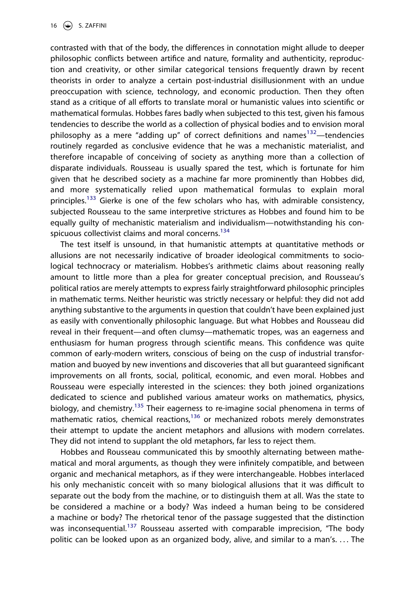16  $\left(\bigstar\right)$  S. ZAFFINI

contrasted with that of the body, the differences in connotation might allude to deeper philosophic conflicts between artifice and nature, formality and authenticity, reproduction and creativity, or other similar categorical tensions frequently drawn by recent theorists in order to analyze a certain post-industrial disillusionment with an undue preoccupation with science, technology, and economic production. Then they often stand as a critique of all efforts to translate moral or humanistic values into scientific or mathematical formulas. Hobbes fares badly when subjected to this test, given his famous tendencies to describe the world as a collection of physical bodies and to envision moral philosophy as a mere "adding up" of correct definitions and names<sup>[132](#page-25-20)</sup>—tendencies routinely regarded as conclusive evidence that he was a mechanistic materialist, and therefore incapable of conceiving of society as anything more than a collection of disparate individuals. Rousseau is usually spared the test, which is fortunate for him given that he described society as a machine far more prominently than Hobbes did, and more systematically relied upon mathematical formulas to explain moral principles.<sup>[133](#page-25-21)</sup> Gierke is one of the few scholars who has, with admirable consistency, subjected Rousseau to the same interpretive strictures as Hobbes and found him to be equally guilty of mechanistic materialism and individualism—notwithstanding his con-spicuous collectivist claims and moral concerns.<sup>[134](#page-25-22)</sup>

The test itself is unsound, in that humanistic attempts at quantitative methods or allusions are not necessarily indicative of broader ideological commitments to sociological technocracy or materialism. Hobbes's arithmetic claims about reasoning really amount to little more than a plea for greater conceptual precision, and Rousseau's political ratios are merely attempts to express fairly straightforward philosophic principles in mathematic terms. Neither heuristic was strictly necessary or helpful: they did not add anything substantive to the arguments in question that couldn't have been explained just as easily with conventionally philosophic language. But what Hobbes and Rousseau did reveal in their frequent—and often clumsy—mathematic tropes, was an eagerness and enthusiasm for human progress through scientific means. This confidence was quite common of early-modern writers, conscious of being on the cusp of industrial transformation and buoyed by new inventions and discoveries that all but guaranteed significant improvements on all fronts, social, political, economic, and even moral. Hobbes and Rousseau were especially interested in the sciences: they both joined organizations dedicated to science and published various amateur works on mathematics, physics, biology, and chemistry.<sup>135</sup> Their eagerness to re-imagine social phenomena in terms of mathematic ratios, chemical reactions, $136$  or mechanized robots merely demonstrates their attempt to update the ancient metaphors and allusions with modern correlates. They did not intend to supplant the old metaphors, far less to reject them.

Hobbes and Rousseau communicated this by smoothly alternating between mathematical and moral arguments, as though they were infinitely compatible, and between organic and mechanical metaphors, as if they were interchangeable. Hobbes interlaced his only mechanistic conceit with so many biological allusions that it was difficult to separate out the body from the machine, or to distinguish them at all. Was the state to be considered a machine or a body? Was indeed a human being to be considered a machine or body? The rhetorical tenor of the passage suggested that the distinction was inconsequential.<sup>137</sup> Rousseau asserted with comparable imprecision, "The body politic can be looked upon as an organized body, alive, and similar to a man's. . . . The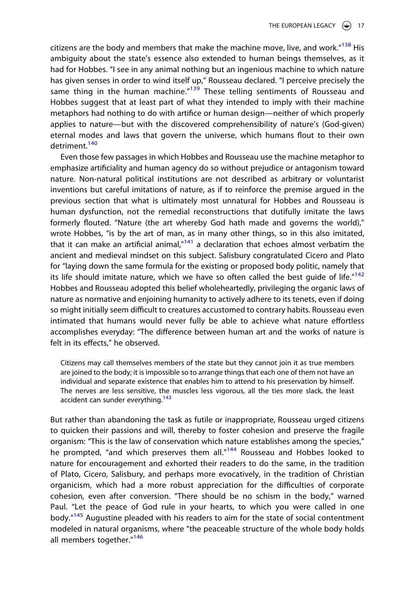citizens are the body and members that make the machine move, live, and work. $^{\prime\prime}$ <sup>138</sup> His ambiguity about the state's essence also extended to human beings themselves, as it had for Hobbes. "I see in any animal nothing but an ingenious machine to which nature has given senses in order to wind itself up," Rousseau declared. "I perceive precisely the same thing in the human machine."<sup>139</sup> These telling sentiments of Rousseau and Hobbes suggest that at least part of what they intended to imply with their machine metaphors had nothing to do with artifice or human design—neither of which properly applies to nature—but with the discovered comprehensibility of nature's (God-given) eternal modes and laws that govern the universe, which humans flout to their own detriment<sup>[140](#page-25-28)</sup>

Even those few passages in which Hobbes and Rousseau use the machine metaphor to emphasize artificiality and human agency do so without prejudice or antagonism toward nature. Non-natural political institutions are not described as arbitrary or voluntarist inventions but careful imitations of nature, as if to reinforce the premise argued in the previous section that what is ultimately most unnatural for Hobbes and Rousseau is human dysfunction, not the remedial reconstructions that dutifully imitate the laws formerly flouted. "Nature (the art whereby God hath made and governs the world)," wrote Hobbes, "is by the art of man, as in many other things, so in this also imitated, that it can make an artificial animal, $n_{141}$  $n_{141}$  $n_{141}$  a declaration that echoes almost verbatim the ancient and medieval mindset on this subject. Salisbury congratulated Cicero and Plato for "laying down the same formula for the existing or proposed body politic, namely that its life should imitate nature, which we have so often called the best quide of life."<sup>[142](#page-25-30)</sup> Hobbes and Rousseau adopted this belief wholeheartedly, privileging the organic laws of nature as normative and enjoining humanity to actively adhere to its tenets, even if doing so might initially seem difficult to creatures accustomed to contrary habits. Rousseau even intimated that humans would never fully be able to achieve what nature effortless accomplishes everyday: "The difference between human art and the works of nature is felt in its effects," he observed.

Citizens may call themselves members of the state but they cannot join it as true members are joined to the body; it is impossible so to arrange things that each one of them not have an individual and separate existence that enables him to attend to his preservation by himself. The nerves are less sensitive, the muscles less vigorous, all the ties more slack, the least accident can sunder everything.<sup>[143](#page-25-31)</sup>

But rather than abandoning the task as futile or inappropriate, Rousseau urged citizens to quicken their passions and will, thereby to foster cohesion and preserve the fragile organism: "This is the law of conservation which nature establishes among the species," he prompted, "and which preserves them all."<sup>[144](#page-25-32)</sup> Rousseau and Hobbes looked to nature for encouragement and exhorted their readers to do the same, in the tradition of Plato, Cicero, Salisbury, and perhaps more evocatively, in the tradition of Christian organicism, which had a more robust appreciation for the difficulties of corporate cohesion, even after conversion. "There should be no schism in the body," warned Paul. "Let the peace of God rule in your hearts, to which you were called in one body."[145](#page-25-33) Augustine pleaded with his readers to aim for the state of social contentment modeled in natural organisms, where "the peaceable structure of the whole body holds all members together."<sup>[146](#page-25-34)</sup>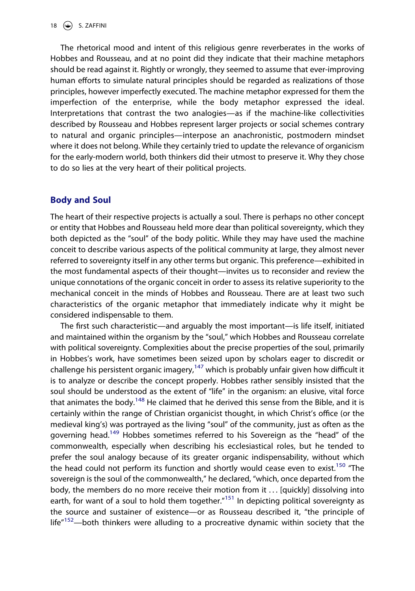The rhetorical mood and intent of this religious genre reverberates in the works of Hobbes and Rousseau, and at no point did they indicate that their machine metaphors should be read against it. Rightly or wrongly, they seemed to assume that ever-improving human efforts to simulate natural principles should be regarded as realizations of those principles, however imperfectly executed. The machine metaphor expressed for them the imperfection of the enterprise, while the body metaphor expressed the ideal. Interpretations that contrast the two analogies—as if the machine-like collectivities described by Rousseau and Hobbes represent larger projects or social schemes contrary to natural and organic principles—interpose an anachronistic, postmodern mindset where it does not belong. While they certainly tried to update the relevance of organicism for the early-modern world, both thinkers did their utmost to preserve it. Why they chose to do so lies at the very heart of their political projects.

### **Body and Soul**

The heart of their respective projects is actually a soul. There is perhaps no other concept or entity that Hobbes and Rousseau held more dear than political sovereignty, which they both depicted as the "soul" of the body politic. While they may have used the machine conceit to describe various aspects of the political community at large, they almost never referred to sovereignty itself in any other terms but organic. This preference—exhibited in the most fundamental aspects of their thought—invites us to reconsider and review the unique connotations of the organic conceit in order to assess its relative superiority to the mechanical conceit in the minds of Hobbes and Rousseau. There are at least two such characteristics of the organic metaphor that immediately indicate why it might be considered indispensable to them.

The first such characteristic—and arguably the most important—is life itself, initiated and maintained within the organism by the "soul," which Hobbes and Rousseau correlate with political sovereignty. Complexities about the precise properties of the soul, primarily in Hobbes's work, have sometimes been seized upon by scholars eager to discredit or challenge his persistent organic imagery,<sup>[147](#page-25-35)</sup> which is probably unfair given how difficult it is to analyze or describe the concept properly. Hobbes rather sensibly insisted that the soul should be understood as the extent of "life" in the organism: an elusive, vital force that animates the body.<sup>148</sup> He claimed that he derived this sense from the Bible, and it is certainly within the range of Christian organicist thought, in which Christ's office (or the medieval king's) was portrayed as the living "soul" of the community, just as often as the governing head.<sup>149</sup> Hobbes sometimes referred to his Sovereign as the "head" of the commonwealth, especially when describing his ecclesiastical roles, but he tended to prefer the soul analogy because of its greater organic indispensability, without which the head could not perform its function and shortly would cease even to exist.<sup>150</sup> "The sovereign is the soul of the commonwealth," he declared, "which, once departed from the body, the members do no more receive their motion from it ... [quickly] dissolving into earth, for want of a soul to hold them together."<sup>151</sup> In depicting political sovereignty as the source and sustainer of existence—or as Rousseau described it, "the principle of  $l$  life<sup> $n$ [152—](#page-26-3)both thinkers were alluding to a procreative dynamic within society that the</sup>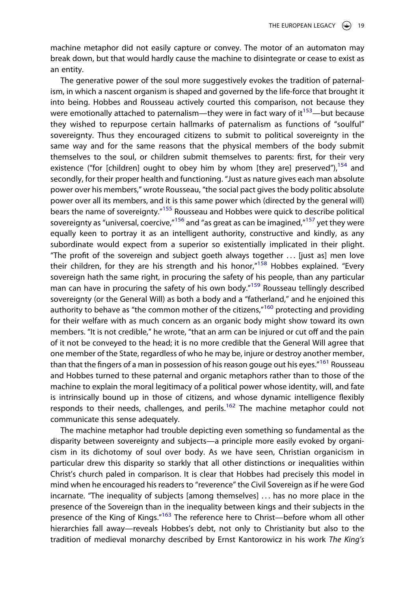machine metaphor did not easily capture or convey. The motor of an automaton may break down, but that would hardly cause the machine to disintegrate or cease to exist as an entity.

The generative power of the soul more suggestively evokes the tradition of paternalism, in which a nascent organism is shaped and governed by the life-force that brought it into being. Hobbes and Rousseau actively courted this comparison, not because they were emotionally attached to paternalism—they were in fact wary of it<sup>[153](#page-26-4)</sup>—but because they wished to repurpose certain hallmarks of paternalism as functions of "soulful" sovereignty. Thus they encouraged citizens to submit to political sovereignty in the same way and for the same reasons that the physical members of the body submit themselves to the soul, or children submit themselves to parents: first, for their very existence ("for [children] ought to obey him by whom [they are] preserved"), $154$  and secondly, for their proper health and functioning. "Just as nature gives each man absolute power over his members," wrote Rousseau, "the social pact gives the body politic absolute power over all its members, and it is this same power which (directed by the general will) bears the name of sovereignty.["155](#page-26-6) Rousseau and Hobbes were quick to describe political sovereignty as "universal, coercive, $n_{156}$  $n_{156}$  $n_{156}$  and "as great as can be imagined, $n_{157}$  yet they were equally keen to portray it as an intelligent authority, constructive and kindly, as any subordinate would expect from a superior so existentially implicated in their plight. "The profit of the sovereign and subject goeth always together  $\ldots$  [just as] men love their children, for they are his strength and his honor, $n^{158}$  Hobbes explained. "Every sovereign hath the same right, in procuring the safety of his people, than any particular man can have in procuring the safety of his own body.["159](#page-26-10) Rousseau tellingly described sovereignty (or the General Will) as both a body and a "fatherland," and he enjoined this authority to behave as "the common mother of the citizens,"<sup>[160](#page-26-11)</sup> protecting and providing for their welfare with as much concern as an organic body might show toward its own members. "It is not credible," he wrote, "that an arm can be injured or cut off and the pain of it not be conveyed to the head; it is no more credible that the General Will agree that one member of the State, regardless of who he may be, injure or destroy another member, than that the fingers of a man in possession of his reason gouge out his eyes."<sup>161</sup> Rousseau and Hobbes turned to these paternal and organic metaphors rather than to those of the machine to explain the moral legitimacy of a political power whose identity, will, and fate is intrinsically bound up in those of citizens, and whose dynamic intelligence flexibly responds to their needs, challenges, and perils.<sup>162</sup> The machine metaphor could not communicate this sense adequately.

The machine metaphor had trouble depicting even something so fundamental as the disparity between sovereignty and subjects—a principle more easily evoked by organicism in its dichotomy of soul over body. As we have seen, Christian organicism in particular drew this disparity so starkly that all other distinctions or inequalities within Christ's church paled in comparison. It is clear that Hobbes had precisely this model in mind when he encouraged his readers to "reverence" the Civil Sovereign as if he were God incarnate. "The inequality of subjects [among themselves] . . . has no more place in the presence of the Sovereign than in the inequality between kings and their subjects in the presence of the King of Kings."<sup>163</sup> The reference here to Christ—before whom all other hierarchies fall away—reveals Hobbes's debt, not only to Christianity but also to the tradition of medieval monarchy described by Ernst Kantorowicz in his work *The King's*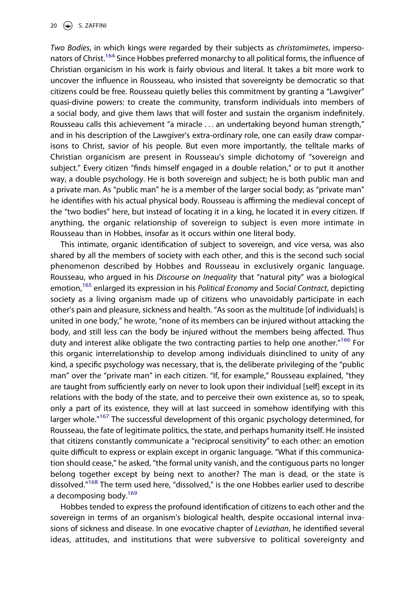*Two Bodies*, in which kings were regarded by their subjects as *christomimetes*, impersonators of Christ.<sup>164</sup> Since Hobbes preferred monarchy to all political forms, the influence of Christian organicism in his work is fairly obvious and literal. It takes a bit more work to uncover the influence in Rousseau, who insisted that sovereignty be democratic so that citizens could be free. Rousseau quietly belies this commitment by granting a "Lawgiver" quasi-divine powers: to create the community, transform individuals into members of a social body, and give them laws that will foster and sustain the organism indefinitely. Rousseau calls this achievement "a miracle . . . an undertaking beyond human strength," and in his description of the Lawgiver's extra-ordinary role, one can easily draw comparisons to Christ, savior of his people. But even more importantly, the telltale marks of Christian organicism are present in Rousseau's simple dichotomy of "sovereign and subject." Every citizen "finds himself engaged in a double relation," or to put it another way, a double psychology. He is both sovereign and subject; he is both public man and a private man. As "public man" he is a member of the larger social body; as "private man" he identifies with his actual physical body. Rousseau is affirming the medieval concept of the "two bodies" here, but instead of locating it in a king, he located it in every citizen. If anything, the organic relationship of sovereign to subject is even more intimate in Rousseau than in Hobbes, insofar as it occurs within one literal body.

This intimate, organic identification of subject to sovereign, and vice versa, was also shared by all the members of society with each other, and this is the second such social phenomenon described by Hobbes and Rousseau in exclusively organic language. Rousseau, who argued in his *Discourse on Inequality* that "natural pity" was a biological emotion,[165](#page-26-16) enlarged its expression in his *Political Economy* and *Social Contract*, depicting society as a living organism made up of citizens who unavoidably participate in each other's pain and pleasure, sickness and health. "As soon as the multitude [of individuals] is united in one body," he wrote, "none of its members can be injured without attacking the body, and still less can the body be injured without the members being affected. Thus duty and interest alike obligate the two contracting parties to help one another."<sup>166</sup> For this organic interrelationship to develop among individuals disinclined to unity of any kind, a specific psychology was necessary, that is, the deliberate privileging of the "public man" over the "private man" in each citizen. "If, for example," Rousseau explained, "they are taught from sufficiently early on never to look upon their individual [self] except in its relations with the body of the state, and to perceive their own existence as, so to speak, only a part of its existence, they will at last succeed in somehow identifying with this larger whole.<sup>"167</sup> The successful development of this organic psychology determined, for Rousseau, the fate of legitimate politics, the state, and perhaps humanity itself. He insisted that citizens constantly communicate a "reciprocal sensitivity" to each other: an emotion quite difficult to express or explain except in organic language. "What if this communication should cease," he asked, "the formal unity vanish, and the contiguous parts no longer belong together except by being next to another? The man is dead, or the state is dissolved."<sup>[168](#page-26-19)</sup> The term used here, "dissolved," is the one Hobbes earlier used to describe a decomposing body.<sup>[169](#page-26-20)</sup>

Hobbes tended to express the profound identification of citizens to each other and the sovereign in terms of an organism's biological health, despite occasional internal invasions of sickness and disease. In one evocative chapter of *Leviathan*, he identified several ideas, attitudes, and institutions that were subversive to political sovereignty and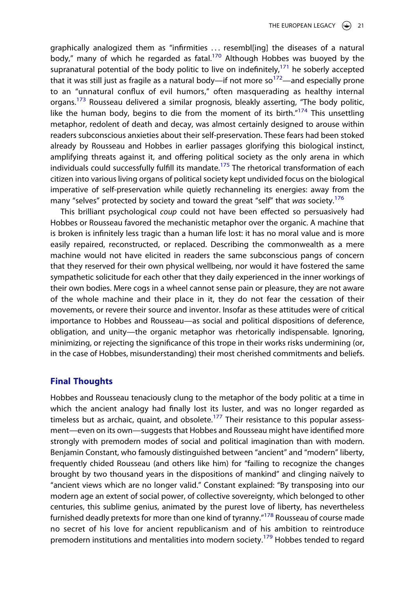graphically analogized them as "infirmities . . . resembl[ing] the diseases of a natural body," many of which he regarded as fatal.<sup>[170](#page-26-21)</sup> Although Hobbes was buoyed by the supranatural potential of the body politic to live on indefinitely, $171$  he soberly accepted that it was still just as fragile as a natural body—if not more so<sup>172</sup>—and especially prone to an "unnatural conflux of evil humors," often masquerading as healthy internal organs.<sup>[173](#page-26-24)</sup> Rousseau delivered a similar prognosis, bleakly asserting, "The body politic, like the human body, begins to die from the moment of its birth. $n^{174}$  This unsettling metaphor, redolent of death and decay, was almost certainly designed to arouse within readers subconscious anxieties about their self-preservation. These fears had been stoked already by Rousseau and Hobbes in earlier passages glorifying this biological instinct, amplifying threats against it, and offering political society as the only arena in which individuals could successfully fulfill its mandate.<sup>[175](#page-26-26)</sup> The rhetorical transformation of each citizen into various living organs of political society kept undivided focus on the biological imperative of self-preservation while quietly rechanneling its energies: away from the many "selves" protected by society and toward the great "self" that *was* society.[176](#page-26-27)

This brilliant psychological *coup* could not have been effected so persuasively had Hobbes or Rousseau favored the mechanistic metaphor over the organic. A machine that is broken is infinitely less tragic than a human life lost: it has no moral value and is more easily repaired, reconstructed, or replaced. Describing the commonwealth as a mere machine would not have elicited in readers the same subconscious pangs of concern that they reserved for their own physical wellbeing, nor would it have fostered the same sympathetic solicitude for each other that they daily experienced in the inner workings of their own bodies. Mere cogs in a wheel cannot sense pain or pleasure, they are not aware of the whole machine and their place in it, they do not fear the cessation of their movements, or revere their source and inventor. Insofar as these attitudes were of critical importance to Hobbes and Rousseau—as social and political dispositions of deference, obligation, and unity—the organic metaphor was rhetorically indispensable. Ignoring, minimizing, or rejecting the significance of this trope in their works risks undermining (or, in the case of Hobbes, misunderstanding) their most cherished commitments and beliefs.

#### **Final Thoughts**

Hobbes and Rousseau tenaciously clung to the metaphor of the body politic at a time in which the ancient analogy had finally lost its luster, and was no longer regarded as timeless but as archaic, quaint, and obsolete.<sup>177</sup> Their resistance to this popular assessment—even on its own—suggests that Hobbes and Rousseau might have identified more strongly with premodern modes of social and political imagination than with modern. Benjamin Constant, who famously distinguished between "ancient" and "modern" liberty, frequently chided Rousseau (and others like him) for "failing to recognize the changes brought by two thousand years in the dispositions of mankind" and clinging naïvely to "ancient views which are no longer valid." Constant explained: "By transposing into our modern age an extent of social power, of collective sovereignty, which belonged to other centuries, this sublime genius, animated by the purest love of liberty, has nevertheless furnished deadly pretexts for more than one kind of tyranny."[178](#page-26-29) Rousseau of course made no secret of his love for ancient republicanism and of his ambition to reintroduce premodern institutions and mentalities into modern society.<sup>[179](#page-26-30)</sup> Hobbes tended to regard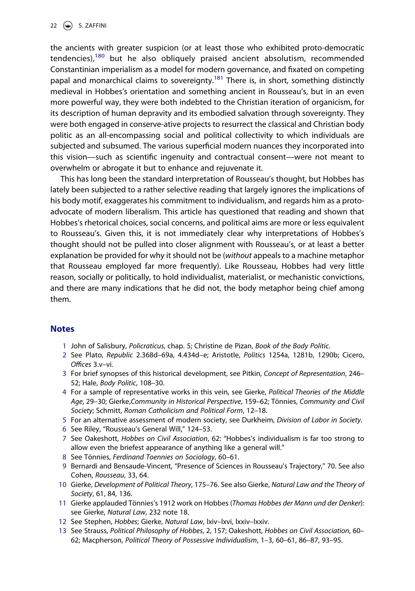the ancients with greater suspicion (or at least those who exhibited proto-democratic tendencies), $180$  but he also obliquely praised ancient absolutism, recommended Constantinian imperialism as a model for modern governance, and fixated on competing papal and monarchical claims to sovereignty.<sup>181</sup> There is, in short, something distinctly medieval in Hobbes's orientation and something ancient in Rousseau's, but in an even more powerful way, they were both indebted to the Christian iteration of organicism, for its description of human depravity and its embodied salvation through sovereignty. They were both engaged in conserve-ative projects to resurrect the classical and Christian body politic as an all-encompassing social and political collectivity to which individuals are subjected and subsumed. The various superficial modern nuances they incorporated into this vision—such as scientific ingenuity and contractual consent—were not meant to overwhelm or abrogate it but to enhance and rejuvenate it.

This has long been the standard interpretation of Rousseau's thought, but Hobbes has lately been subjected to a rather selective reading that largely ignores the implications of his body motif, exaggerates his commitment to individualism, and regards him as a protoadvocate of modern liberalism. This article has questioned that reading and shown that Hobbes's rhetorical choices, social concerns, and political aims are more or less equivalent to Rousseau's. Given this, it is not immediately clear why interpretations of Hobbes's thought should not be pulled into closer alignment with Rousseau's, or at least a better explanation be provided for why it should not be (*without* appeals to a machine metaphor that Rousseau employed far more frequently). Like Rousseau, Hobbes had very little reason, socially or politically, to hold individualist, materialist, or mechanistic convictions, and there are many indications that he did not, the body metaphor being chief among them.

#### **Notes**

- <span id="page-21-0"></span>1 John of Salisbury, *Policraticus*, chap. 5; Christine de Pizan, *Book of the Body Politic*.
- <span id="page-21-1"></span>2 See Plato, *Republic* 2.368d–69a, 4.434d–e; Aristotle, *Politics* 1254a, 1281b, 1290b; Cicero, *Offices* 3.v–vi.
- <span id="page-21-2"></span>3 For brief synopses of this historical development, see Pitkin, *Concept of Representation*, 246– 52; Hale, *Body Politic*, 108–30.
- <span id="page-21-3"></span>4 For a sample of representative works in this vein, see Gierke, *Political Theories of the Middle Age*, 29–30; Gierke,*Community in Historical Perspective*, 159–62; Tönnies, *Community and Civil Society*; Schmitt, *Roman Catholicism and Political Form*, 12–18.
- <span id="page-21-4"></span>5 For an alternative assessment of modern society, see Durkheim, *Division of Labor in Society*.
- <span id="page-21-5"></span>6 See Riley, "Rousseau's General Will," 124–53.
- <span id="page-21-6"></span>7 See Oakeshott, *Hobbes on Civil Association*, 62: "Hobbes's individualism is far too strong to allow even the briefest appearance of anything like a general will."
- <span id="page-21-7"></span>8 See Tönnies, *Ferdinand Toennies on Sociology*, 60–61.
- <span id="page-21-8"></span>9 Bernardi and Bensaude-Vincent, "Presence of Sciences in Rousseau's Trajectory," 70. See also Cohen, *Rousseau*, 33, 64.
- <span id="page-21-9"></span>10 Gierke, *Development of Political Theory*, 175–76. See also Gierke, *Natural Law and the Theory of Society*, 61, 84, 136.
- <span id="page-21-10"></span>11 Gierke applauded Tönnies's 1912 work on Hobbes (*Thomas Hobbes der Mann und der Denker*): see Gierke, *Natural Law*, 232 note 18.
- <span id="page-21-11"></span>12 See Stephen, *Hobbes*; Gierke, *Natural Law*, lxiv–lxvi, lxxiv–lxxiv.
- <span id="page-21-12"></span>13 See Strauss, *Political Philosophy of Hobbes*, 2, 157; Oakeshott, *Hobbes on Civil Association*, 60– 62; Macpherson, *Political Theory of Possessive Individualism*, 1–3, 60–61, 86–87, 93–95.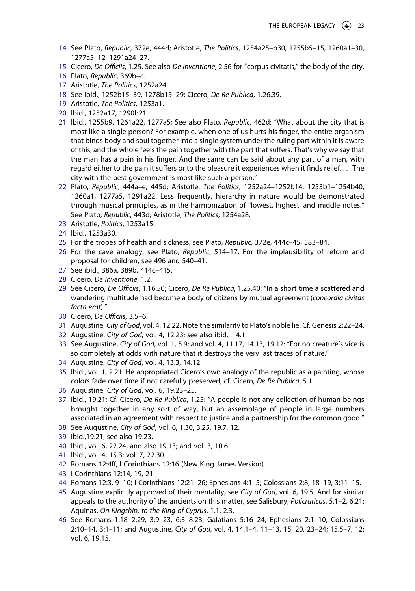- <span id="page-22-0"></span>14 See Plato, *Republic*, 372e, 444d; Aristotle, *The Politics*, 1254a25–b30, 1255b5–15, 1260a1–30, 1277a5–12, 1291a24–27.
- <span id="page-22-1"></span>15 Cicero, *De Officiis*, 1.25. See also *De Inventione*, 2.56 for "corpus civitatis," the body of the city.
- <span id="page-22-2"></span>16 Plato, *Republic*, 369b–c.
- <span id="page-22-3"></span>17 Aristotle, *The Politics*, 1252a24.
- <span id="page-22-4"></span>18 See Ibid., 1252b15–39, 1278b15–29; Cicero, *De Re Publica*, 1.26.39.
- <span id="page-22-5"></span>19 Aristotle, *The Politics*, 1253a1.
- <span id="page-22-6"></span>20 Ibid., 1252a17, 1290b21.
- <span id="page-22-7"></span>21 Ibid., 1255b9, 1261a22, 1277a5; See also Plato, *Republic*, 462d: "What about the city that is most like a single person? For example, when one of us hurts his finger, the entire organism that binds body and soul together into a single system under the ruling part within it is aware of this, and the whole feels the pain together with the part that suffers. That's why we say that the man has a pain in his finger. And the same can be said about any part of a man, with regard either to the pain it suffers or to the pleasure it experiences when it finds relief. . . . The city with the best government is most like such a person."
- <span id="page-22-8"></span>22 Plato, *Republic*, 444a–e, 445d; Aristotle, *The Politics*, 1252a24–1252b14, 1253b1–1254b40, 1260a1, 1277a5, 1291a22. Less frequently, hierarchy in nature would be demonstrated through musical principles, as in the harmonization of "lowest, highest, and middle notes." See Plato, *Republic*, 443d; Aristotle, *The Politics*, 1254a28.
- <span id="page-22-9"></span>23 Aristotle, *Politics*, 1253a15.
- <span id="page-22-10"></span>24 Ibid., 1253a30.
- <span id="page-22-11"></span>25 For the tropes of health and sickness, see Plato, *Republic*, 372e, 444c–45, 583–84.
- <span id="page-22-12"></span>26 For the cave analogy, see Plato, *Republic*, 514–17. For the implausibility of reform and proposal for children, see 496 and 540–41.
- <span id="page-22-13"></span>27 See ibid., 386a, 389b, 414c–415.
- <span id="page-22-14"></span>28 Cicero, *De Inventione*, 1.2.
- <span id="page-22-15"></span>29 See Cicero, *De Officiis*, 1.16.50; Cicero, *De Re Publica*, 1.25.40: "In a short time a scattered and wandering multitude had become a body of citizens by mutual agreement (*concordia civitas facta erat*)."
- <span id="page-22-16"></span>30 Cicero, *De Officiis*, 3.5–6.
- <span id="page-22-17"></span>31 Augustine, *City of God*, vol. 4, 12.22. Note the similarity to Plato's noble lie. Cf. Genesis 2:22–24.
- <span id="page-22-18"></span>32 Augustine, C*ity of God*, vol. 4, 12.23; see also ibid., 14.1.
- <span id="page-22-19"></span>33 See Augustine, *City of God*, vol. 1, 5.9; and vol. 4, 11.17, 14.13, 19.12: "For no creature's vice is so completely at odds with nature that it destroys the very last traces of nature."
- <span id="page-22-20"></span>34 Augustine, *City of God*, vol. 4, 13.3, 14.12.
- <span id="page-22-21"></span>35 Ibid., vol. 1, 2.21. He appropriated Cicero's own analogy of the republic as a painting, whose colors fade over time if not carefully preserved, cf. Cicero, *De Re Publica*, 5.1.
- <span id="page-22-22"></span>36 Augustine, *City of God*, vol. 6, 19.23–25.
- <span id="page-22-23"></span>37 Ibid., 19.21; Cf. Cicero, *De Re Publica*, 1.25: "A people is not any collection of human beings brought together in any sort of way, but an assemblage of people in large numbers associated in an agreement with respect to justice and a partnership for the common good."
- <span id="page-22-24"></span>38 See Augustine, *City of God*, vol. 6, 1.30, 3.25, 19.7, 12.
- <span id="page-22-25"></span>39 Ibid.,19.21; see also 19.23.
- <span id="page-22-26"></span>40 Ibid., vol. 6, 22.24, and also 19.13; and vol. 3, 10.6.
- <span id="page-22-27"></span>41 Ibid., vol. 4, 15.3; vol. 7, 22.30.
- <span id="page-22-28"></span>42 Romans 12:4ff, I Corinthians 12:16 (New King James Version)
- <span id="page-22-29"></span>43 I Corinthians 12:14, 19, 21.
- <span id="page-22-30"></span>44 Romans 12:3, 9–10; I Corinthians 12:21–26; Ephesians 4:1–5; Colossians 2:8, 18–19, 3:11–15.
- <span id="page-22-31"></span>45 Augustine explicitly approved of their mentality, see *City of God*, vol. 6, 19.5. And for similar appeals to the authority of the ancients on this matter, see Salisbury, *Policraticus*, 5.1–2, 6.21; Aquinas, *On Kingship, to the King of Cyprus*, 1.1, 2.3.
- <span id="page-22-32"></span>46 See Romans 1:18–2:29, 3:9–23, 6:3–8:23; Galatians 5:16–24; Ephesians 2:1–10; Colossians 2:10–14, 3:1–11; and Augustine, *City of God*, vol. 4, 14.1–4, 11–13, 15, 20, 23–24; 15.5–7, 12; vol. 6, 19.15.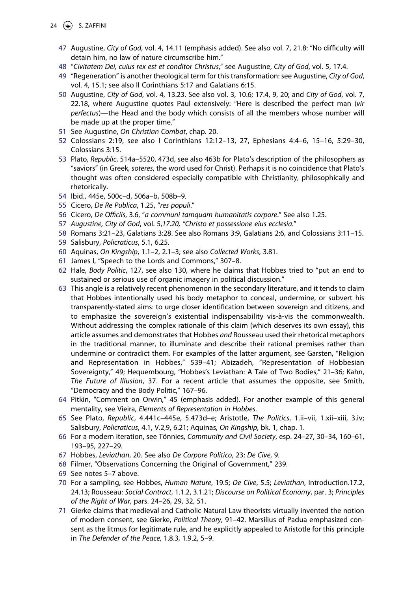- <span id="page-23-24"></span><span id="page-23-23"></span><span id="page-23-22"></span><span id="page-23-21"></span><span id="page-23-20"></span><span id="page-23-19"></span><span id="page-23-18"></span><span id="page-23-17"></span><span id="page-23-16"></span><span id="page-23-15"></span><span id="page-23-14"></span><span id="page-23-13"></span><span id="page-23-12"></span><span id="page-23-11"></span><span id="page-23-10"></span><span id="page-23-9"></span><span id="page-23-8"></span><span id="page-23-7"></span><span id="page-23-6"></span><span id="page-23-5"></span><span id="page-23-4"></span><span id="page-23-3"></span><span id="page-23-2"></span><span id="page-23-1"></span><span id="page-23-0"></span>24  $\left(\frac{1}{2}\right)$  S. ZAFFINI
	- 47 Augustine, *City of God*, vol. 4, 14.11 (emphasis added). See also vol. 7, 21.8: "No difficulty will detain him, no law of nature circumscribe him."
	- 48 "*Civitatem Dei, cuius rex est et conditor Christus*," see Augustine, *City of God*, vol. 5, 17.4.
	- 49 "Regeneration" is another theological term for this transformation: see Augustine, *City of God*, vol. 4, 15.1; see also II Corinthians 5:17 and Galatians 6:15.
	- 50 Augustine, *City of God*, vol. 4, 13.23. See also vol. 3, 10.6; 17.4, 9, 20; and *City of God*, vol. 7, 22.18, where Augustine quotes Paul extensively: "Here is described the perfect man (*vir perfectus*)—the Head and the body which consists of all the members whose number will be made up at the proper time."
	- 51 See Augustine, *On Christian Combat*, chap. 20.
	- 52 Colossians 2:19, see also I Corinthians 12:12–13, 27, Ephesians 4:4–6, 15–16, 5:29–30, Colossians 3:15.
	- 53 Plato, *Republic*, 514a–5520, 473d, see also 463b for Plato's description of the philosophers as "saviors" (in Greek, *soteres*, the word used for Christ). Perhaps it is no coincidence that Plato's thought was often considered especially compatible with Christianity, philosophically and rhetorically.
	- 54 Ibid., 445e, 500c–d, 506a–b, 508b–9.
	- 55 Cicero, *De Re Publica*, 1.25, "*res populi*."
	- 56 Cicero, *De Officiis*, 3.6, "*a communi tamquam humanitatis corpore*." See also 1.25.
	- 57 *Augustine, City of God*, vol. 5,*17.20, "Christo et possessione eius ecclesia*."
	- 58 Romans 3:21–23, Galatians 3:28. See also Romans 3:9, Galatians 2:6, and Colossians 3:11–15.
	- 59 Salisbury, *Policraticus*, 5.1, 6.25.
	- 60 Aquinas, *On Kingship*, 1.1–2, 2.1–3; see also *Collected Works*, 3.81.
	- 61 James I, "Speech to the Lords and Commons," 307–8.
	- 62 Hale, *Body Politic*, 127, see also 130, where he claims that Hobbes tried to "put an end to sustained or serious use of organic imagery in political discussion."
	- 63 This angle is a relatively recent phenomenon in the secondary literature, and it tends to claim that Hobbes intentionally used his body metaphor to conceal, undermine, or subvert his transparently-stated aims: to urge closer identification between sovereign and citizens, and to emphasize the sovereign's existential indispensability vis-à-vis the commonwealth. Without addressing the complex rationale of this claim (which deserves its own essay), this article assumes and demonstrates that Hobbes *and* Rousseau used their rhetorical metaphors in the traditional manner, to illuminate and describe their rational premises rather than undermine or contradict them. For examples of the latter argument, see Garsten, "Religion and Representation in Hobbes," 539–41; Abizadeh, "Representation of Hobbesian Sovereignty," 49; Hequembourg, "Hobbes's Leviathan: A Tale of Two Bodies," 21–36; Kahn, *The Future of Illusion*, 37. For a recent article that assumes the opposite, see Smith, "Democracy and the Body Politic," 167–96.
	- 64 Pitkin, "Comment on Orwin," 45 (emphasis added). For another example of this general mentality, see Vieira, *Elements of Representation in Hobbes*.
	- 65 See Plato, *Republic*, 4.441c–445e, 5.473d–e; Aristotle, *The Politics*, 1.ii–vii, 1.xii–xiii, 3.iv; Salisbury, *Policraticus*, 4.1, V.2,9, 6.21; Aquinas, *On Kingship*, bk. 1, chap. 1.
	- 66 For a modern iteration, see Tönnies, *Community and Civil Society*, esp. 24–27, 30–34, 160–61, 193–95, 227–29.
	- 67 Hobbes, *Leviathan*, 20. See also *De Corpore Politico*, 23; *De Cive*, 9.
	- 68 Filmer, "Observations Concerning the Original of Government," 239.
	- 69 See notes 5–7 above.
	- 70 For a sampling, see Hobbes, *Human Nature*, 19.5; *De Cive*, 5.5; *Leviathan*, Introduction.17.2, 24.13; Rousseau: *Social Contract*, 1.1.2, 3.1.21; *Discourse on Political Economy*, par. 3; *Principles of the Right of War*, pars. 24–26, 29, 32, 51.
	- 71 Gierke claims that medieval and Catholic Natural Law theorists virtually invented the notion of modern consent, see Gierke, *Political Theory*, 91–42. Marsilius of Padua emphasized consent as the litmus for legitimate rule, and he explicitly appealed to Aristotle for this principle in *The Defender of the Peace*, 1.8.3, 1.9.2, 5–9.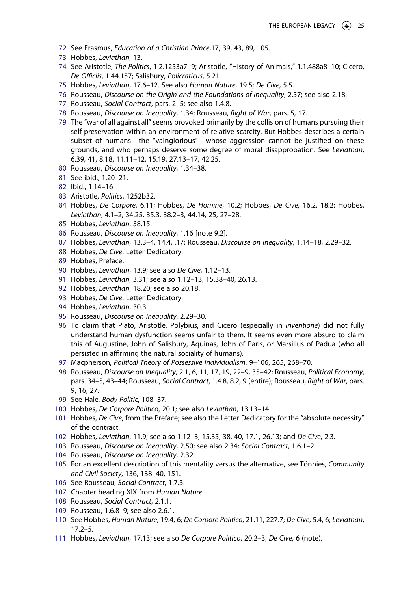- <span id="page-24-0"></span>72 See Erasmus, *Education of a Christian Prince*,17, 39, 43, 89, 105.
- <span id="page-24-1"></span>73 Hobbes, *Leviathan*, 13.
- <span id="page-24-2"></span>74 See Aristotle, *The Politics*, 1.2.1253a7–9; Aristotle, "History of Animals," 1.1.488a8–10; Cicero, *De Officiis*, 1.44.157; Salisbury, *Policraticus*, 5.21.
- <span id="page-24-3"></span>75 Hobbes, *Leviathan*, 17.6–12. See also *Human Nature*, 19.5; *De Cive*, 5.5.
- <span id="page-24-4"></span>76 Rousseau, *Discourse on the Origin and the Foundations of Inequality*, 2.57; see also 2.18.
- <span id="page-24-5"></span>77 Rousseau, *Social Contract*, pars. 2–5; see also 1.4.8.
- <span id="page-24-6"></span>78 Rousseau, *Discourse on Inequality*, 1.34; Rousseau, *Right of War*, pars. 5, 17.
- <span id="page-24-7"></span>79 The "war of all against all" seems provoked primarily by the collision of humans pursuing their self-preservation within an environment of relative scarcity. But Hobbes describes a certain subset of humans—the "vainglorious"—whose aggression cannot be justified on these grounds, and who perhaps deserve some degree of moral disapprobation. See *Leviathan*, 6.39, 41, 8.18, 11.11–12, 15.19, 27.13–17, 42.25.
- <span id="page-24-8"></span>80 Rousseau, *Discourse on Inequality*, 1.34–38.
- <span id="page-24-9"></span>81 See ibid., 1.20–21.
- <span id="page-24-10"></span>82 Ibid., 1.14–16.
- <span id="page-24-11"></span>83 Aristotle, *Politics*, 1252b32.
- <span id="page-24-12"></span>84 Hobbes, *De Corpore*, 6.11; Hobbes, *De Homine*, 10.2; Hobbes, *De Cive*, 16.2, 18.2; Hobbes, *Leviathan*, 4.1–2, 34.25, 35.3, 38.2–3, 44.14, 25, 27–28.
- <span id="page-24-13"></span>85 Hobbes, *Leviathan*, 38.15.
- <span id="page-24-14"></span>86 Rousseau, *Discourse on Inequality*, 1.16 [note 9.2].
- <span id="page-24-15"></span>87 Hobbes, *Leviathan*, 13.3–4, 14.4, .17; Rousseau, *Discourse on Inequality*, 1.14–18, 2.29–32.
- <span id="page-24-16"></span>88 Hobbes, *De Cive*, Letter Dedicatory.
- <span id="page-24-17"></span>89 Hobbes, Preface.
- <span id="page-24-18"></span>90 Hobbes, *Leviathan*, 13.9; see also *De Cive*, 1.12–13.
- <span id="page-24-19"></span>91 Hobbes, *Leviathan*, 3.31; see also 1.12–13, 15.38–40, 26.13.
- <span id="page-24-20"></span>92 Hobbes, *Leviathan*, 18.20; see also 20.18.
- <span id="page-24-21"></span>93 Hobbes, *De Cive*, Letter Dedicatory.
- <span id="page-24-22"></span>94 Hobbes, *Leviathan*, 30.3.
- <span id="page-24-23"></span>95 Rousseau, *Discourse on Inequality*, 2.29–30.
- <span id="page-24-24"></span>96 To claim that Plato, Aristotle, Polybius, and Cicero (especially in *Inventione*) did not fully understand human dysfunction seems unfair to them. It seems even more absurd to claim this of Augustine, John of Salisbury, Aquinas, John of Paris, or Marsilius of Padua (who all persisted in affirming the natural sociality of humans).
- <span id="page-24-25"></span>97 Macpherson, *Political Theory of Possessive Individualism*, 9–106, 265, 268–70.
- <span id="page-24-26"></span>98 Rousseau, *Discourse on Inequality*, 2.1, 6, 11, 17, 19, 22–9, 35–42; Rousseau, *Political Economy*, pars. 34–5, 43–44; Rousseau, *Social Contract*, 1.4.8, 8.2, 9 (entire); Rousseau, *Right of War*, pars. 9, 16, 27.
- <span id="page-24-27"></span>99 See Hale, *Body Politic*, 108–37.
- <span id="page-24-28"></span>100 Hobbes, *De Corpore Politico*, 20.1; see also *Leviathan*, 13.13–14.
- <span id="page-24-29"></span>101 Hobbes, *De Cive*, from the Preface; see also the Letter Dedicatory for the "absolute necessity" of the contract.
- <span id="page-24-30"></span>102 Hobbes, *Leviathan*, 11.9; see also 1.12–3, 15.35, 38, 40, 17.1, 26.13; and *De Cive*, 2.3.
- <span id="page-24-31"></span>103 Rousseau, *Discourse on Inequality*, 2.50; see also 2.34; *Social Contract*, 1.6.1–2.
- <span id="page-24-32"></span>104 Rousseau, *Discourse on Inequality*, 2.32.
- <span id="page-24-33"></span>105 For an excellent description of this mentality versus the alternative, see Tönnies, *Community and Civil Society*, 136, 138–40, 151.
- <span id="page-24-34"></span>106 See Rousseau, *Social Contract*, 1.7.3.
- <span id="page-24-35"></span>107 Chapter heading XIX from *Human Nature*.
- <span id="page-24-36"></span>108 Rousseau, *Social Contract*, 2.1.1.
- <span id="page-24-37"></span>109 Rousseau, 1.6.8–9; see also 2.6.1.
- <span id="page-24-38"></span>110 See Hobbes, *Human Nature*, 19.4, 6; *De Corpore Politico*, 21.11, 227.7; *De Cive*, 5.4, 6; *Leviathan*, 17.2–5.
- <span id="page-24-39"></span>111 Hobbes, *Leviathan*, 17.13; see also *De Corpore Politico*, 20.2–3; *De Cive*, 6 (note).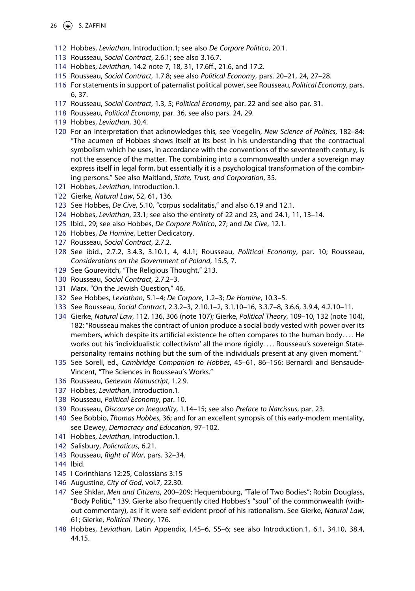#### 26  $\left(\frac{1}{2}\right)$  S. ZAFFINI

- <span id="page-25-0"></span>112 Hobbes, *Leviathan*, Introduction.1; see also *De Corpore Politico*, 20.1.
- <span id="page-25-1"></span>113 Rousseau, *Social Contract*, 2.6.1; see also 3.16.7.
- <span id="page-25-2"></span>114 Hobbes, *Leviathan*, 14.2 note 7, 18, 31, 17.6ff., 21.6, and 17.2.
- <span id="page-25-3"></span>115 Rousseau, *Social Contract*, 1.7.8; see also *Political Economy*, pars. 20–21, 24, 27–28.
- <span id="page-25-4"></span>116 For statements in support of paternalist political power, see Rousseau, *Political Economy*, pars. 6, 37.
- <span id="page-25-5"></span>117 Rousseau, *Social Contract*, 1.3, 5; *Political Economy*, par. 22 and see also par. 31.
- <span id="page-25-6"></span>118 Rousseau, *Political Economy*, par. 36, see also pars. 24, 29.
- <span id="page-25-7"></span>119 Hobbes, *Leviathan*, 30.4.
- <span id="page-25-8"></span>120 For an interpretation that acknowledges this, see Voegelin, *New Science of Politics*, 182–84: "The acumen of Hobbes shows itself at its best in his understanding that the contractual symbolism which he uses, in accordance with the conventions of the seventeenth century, is not the essence of the matter. The combining into a commonwealth under a sovereign may express itself in legal form, but essentially it is a psychological transformation of the combining persons." See also Maitland, *State, Trust, and Corporation*, 35.
- <span id="page-25-9"></span>121 Hobbes, *Leviathan*, Introduction.1.
- <span id="page-25-10"></span>122 Gierke, *Natural Law*, 52, 61, 136.
- <span id="page-25-11"></span>123 See Hobbes, *De Cive*, 5.10, "corpus sodalitatis," and also 6.19 and 12.1.
- <span id="page-25-12"></span>124 Hobbes, *Leviathan*, 23.1; see also the entirety of 22 and 23, and 24.1, 11, 13–14.
- <span id="page-25-13"></span>125 Ibid., 29; see also Hobbes, *De Corpore Politico*, 27; and *De Cive*, 12.1.
- <span id="page-25-14"></span>126 Hobbes, *De Homine*, Letter Dedicatory.
- <span id="page-25-15"></span>127 Rousseau, *Social Contract*, 2.7.2.
- <span id="page-25-16"></span>128 See ibid., 2.7.2, 3.4.3, 3.10.1, 4, 4.I.1; Rousseau, *Political Economy*, par. 10; Rousseau, *Considerations on the Government of Poland*, 15.5, 7.
- <span id="page-25-17"></span>129 See Gourevitch, "The Religious Thought," 213.
- <span id="page-25-18"></span>130 Rousseau, *Social Contract*, 2.7.2–3.
- <span id="page-25-19"></span>131 Marx, "On the Jewish Question," 46.
- <span id="page-25-20"></span>132 See Hobbes, *Leviathan*, 5.1–4; *De Corpore*, 1.2–3; *De Homine*, 10.3–5.
- <span id="page-25-21"></span>133 See Rousseau, *Social Contract*, 2.3.2–3, 2.10.1–2, 3.1.10–16, 3.3.7–8, 3.6.6, 3.9.4, 4.2.10–11.
- <span id="page-25-22"></span>134 Gierke, *Natural Law*, 112, 136, 306 (note 107); Gierke, *Political Theory*, 109–10, 132 (note 104), 182: "Rousseau makes the contract of union produce a social body vested with power over its members, which despite its artificial existence he often compares to the human body. . . . He works out his 'individualistic collectivism' all the more rigidly. . . . Rousseau's sovereign Statepersonality remains nothing but the sum of the individuals present at any given moment."
- <span id="page-25-23"></span>135 See Sorell, ed., *Cambridge Companion to Hobbes*, 45–61, 86–156; Bernardi and Bensaude-Vincent, "The Sciences in Rousseau's Works."
- <span id="page-25-24"></span>136 Rousseau, *Genevan Manuscript*, 1.2.9.
- <span id="page-25-25"></span>137 Hobbes, *Leviathan*, Introduction.1.
- <span id="page-25-26"></span>138 Rousseau, *Political Economy*, par. 10.
- <span id="page-25-27"></span>139 Rousseau, *Discourse on Inequality*, 1.14–15; see also *Preface to Narcissus*, par. 23.
- <span id="page-25-28"></span>140 See Bobbio, *Thomas Hobbes*, 36; and for an excellent synopsis of this early-modern mentality, see Dewey, *Democracy and Education*, 97–102.
- <span id="page-25-29"></span>141 Hobbes, *Leviathan*, Introduction.1.
- <span id="page-25-30"></span>142 Salisbury, *Policraticus*, 6.21.
- <span id="page-25-31"></span>143 Rousseau, *Right of War*, pars. 32–34.
- <span id="page-25-32"></span>144 Ibid.
- <span id="page-25-33"></span>145 I Corinthians 12:25, Colossians 3:15
- <span id="page-25-34"></span>146 Augustine, *City of God*, vol.7, 22.30.
- <span id="page-25-35"></span>147 See Shklar, *Men and Citizens*, 200–209; Hequembourg, "Tale of Two Bodies"; Robin Douglass, "Body Politic," 139. Gierke also frequently cited Hobbes's "soul" of the commonwealth (without commentary), as if it were self-evident proof of his rationalism. See Gierke, *Natural Law*, 61; Gierke, *Political Theory*, 176.
- <span id="page-25-36"></span>148 Hobbes, *Leviathan*, Latin Appendix, I.45–6, 55–6; see also Introduction.1, 6.1, 34.10, 38.4, 44.15.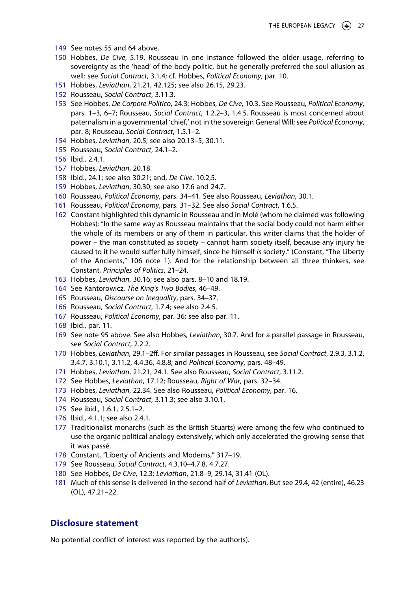- <span id="page-26-0"></span>149 See notes 55 and 64 above.
- <span id="page-26-1"></span>150 Hobbes, *De Cive*, 5.19. Rousseau in one instance followed the older usage, referring to sovereignty as the 'head' of the body politic, but he generally preferred the soul allusion as well: see *Social Contract*, 3.1.4; cf. Hobbes, *Political Economy*, par. 10.
- <span id="page-26-2"></span>151 Hobbes, *Leviathan*, 21.21, 42.125; see also 26.15, 29.23.
- <span id="page-26-3"></span>152 Rousseau, *Social Contract*, 3.11.3.
- <span id="page-26-4"></span>153 See Hobbes, *De Corpore Politico*, 24.3; Hobbes, *De Cive*, 10.3. See Rousseau, *Political Economy*, pars. 1–3, 6–7; Rousseau, *Social Contract*, 1.2.2–3, 1.4.5. Rousseau is most concerned about paternalism in a governmental 'chief,' not in the sovereign General Will; see *Political Economy*, par. 8; Rousseau, *Social Contract*, 1.5.1–2.
- <span id="page-26-5"></span>154 Hobbes, *Leviathan*, 20.5; see also 20.13–5, 30.11.
- <span id="page-26-6"></span>155 Rousseau, *Social Contract*, 24.1–2.
- <span id="page-26-7"></span>156 Ibid., 2.4.1.
- <span id="page-26-8"></span>157 Hobbes, *Leviathan*, 20.18.
- <span id="page-26-9"></span>158 Ibid., 24.1; see also 30.21; and, *De Cive*, 10.2,5.
- <span id="page-26-10"></span>159 Hobbes, *Leviathan*, 30.30; see also 17.6 and 24.7.
- <span id="page-26-11"></span>160 Rousseau, *Political Economy*, pars. 34–41. See also Rousseau, *Leviathan*, 30.1.
- <span id="page-26-12"></span>161 Rousseau, *Political Economy*, pars. 31–32. See also *Social Contract*, 1.6.5.
- <span id="page-26-13"></span>162 Constant highlighted this dynamic in Rousseau and in Molé (whom he claimed was following Hobbes): "In the same way as Rousseau maintains that the social body could not harm either the whole of its members or any of them in particular, this writer claims that the holder of power – the man constituted as society – cannot harm society itself, because any injury he caused to it he would suffer fully himself, since he himself *is* society." (Constant, "The Liberty of the Ancients," 106 note 1). And for the relationship between all three thinkers, see Constant, *Principles of Politics*, 21–24.
- <span id="page-26-14"></span>163 Hobbes, *Leviathan*, 30.16; see also pars. 8–10 and 18.19.
- <span id="page-26-15"></span>164 See Kantorowicz, *The King's Two Bodies*, 46–49.
- <span id="page-26-16"></span>165 Rousseau, *Discourse on Inequality*, pars. 34–37.
- <span id="page-26-17"></span>166 Rousseau, *Social Contract*, 1.7.4; see also 2.4.5.
- <span id="page-26-18"></span>167 Rousseau, *Political Economy*, par. 36; see also par. 11.
- <span id="page-26-19"></span>168 Ibid., par. 11.
- <span id="page-26-20"></span>169 See note 95 above. See also Hobbes, *Leviathan*, 30.7. And for a parallel passage in Rousseau, see *Social Contract*, 2.2.2.
- <span id="page-26-21"></span>170 Hobbes, *Leviathan*, 29.1–2ff. For similar passages in Rousseau, see *Social Contract*, 2.9.3, 3.1.2, 3.4.7, 3.10.1, 3.11.2, 4.4.36, 4.8.8; and *Political Economy*, pars. 48–49.
- <span id="page-26-22"></span>171 Hobbes, *Leviathan*, 21.21, 24.1. See also Rousseau, *Social Contract*, 3.11.2.
- <span id="page-26-23"></span>172 See Hobbes, *Leviathan*, 17.12; Rousseau, *Right of War*, pars. 32–34.
- <span id="page-26-24"></span>173 Hobbes, *Leviathan*, 22.34. See also Rousseau, *Political Economy*, par. 16.
- <span id="page-26-25"></span>174 Rousseau, *Social Contract*, 3.11.3; see also 3.10.1.
- <span id="page-26-26"></span>175 See ibid., 1.6.1, 2.5.1–2.
- <span id="page-26-27"></span>176 Ibid., 4.1.1; see also 2.4.1.
- <span id="page-26-28"></span>177 Traditionalist monarchs (such as the British Stuarts) were among the few who continued to use the organic political analogy extensively, which only accelerated the growing sense that it was passé.
- <span id="page-26-29"></span>178 Constant, "Liberty of Ancients and Moderns," 317–19.
- <span id="page-26-30"></span>179 See Rousseau, *Social Contract*, 4.3.10–4.7.8, 4.7.27.
- <span id="page-26-31"></span>180 See Hobbes, *De Cive*, 12.3; *Leviathan*, 21.8–9, 29.14, 31.41 (OL).
- <span id="page-26-32"></span>181 Much of this sense is delivered in the second half of *Leviathan*. But see 29.4, 42 (entire), 46.23 (OL), 47.21–22.

# **Disclosure statement**

No potential conflict of interest was reported by the author(s).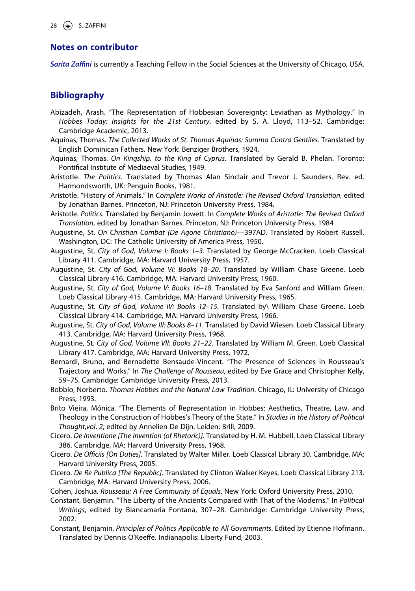# **Notes on contributor**

*Sarita Zaffini* is currently a Teaching Fellow in the Social Sciences at the University of Chicago, USA.

# **Bibliography**

- Abizadeh, Arash. "The Representation of Hobbesian Sovereignty: Leviathan as Mythology." In *Hobbes Today: Insights for the 21st Century*, edited by S. A. Lloyd, 113–52. Cambridge: Cambridge Academic, 2013.
- Aquinas, Thomas. *The Collected Works of St. Thomas Aquinas: Summa Contra Gentiles*. Translated by English Dominican Fathers. New York: Benziger Brothers, 1924.
- Aquinas, Thomas. *On Kingship, to the King of Cyprus*. Translated by Gerald B. Phelan. Toronto: Pontifical Institute of Mediaeval Studies, 1949.
- Aristotle. *The Politics*. Translated by Thomas Alan Sinclair and Trevor J. Saunders. Rev. ed. Harmondsworth, UK: Penguin Books, 1981.
- Aristotle. "History of Animals." In *Complete Works of Aristotle: The Revised Oxford Translation*, edited by Jonathan Barnes. Princeton, NJ: Princeton University Press, 1984.
- Aristotle. *Politics*. Translated by Benjamin Jowett. In *Complete Works of Aristotle: The Revised Oxford Translation*, edited by Jonathan Barnes. Princeton, NJ: Princeton University Press, 1984
- Augustine, St. *On Christian Combat (De Agone Christiano)—*397AD. Translated by Robert Russell. Washington, DC: The Catholic University of America Press, 1950.
- Augustine, St. *City of God, Volume I: Books 1–3*. Translated by George McCracken. Loeb Classical Library 411. Cambridge, MA: Harvard University Press, 1957.
- Augustine, St. *City of God, Volume VI: Books 18–20*. Translated by William Chase Greene. Loeb Classical Library 416. Cambridge, MA: Harvard University Press, 1960.
- Augustine, St. *City of God, Volume V: Books 16–18*. Translated by Eva Sanford and William Green. Loeb Classical Library 415. Cambridge, MA: Harvard University Press, 1965.
- Augustine, St. *City of God, Volume IV: Books 12–15*. Translated by\ William Chase Greene. Loeb Classical Library 414. Cambridge, MA: Harvard University Press, 1966.
- Augustine, St. *City of God, Volume III: Books 8–11*. Translated by David Wiesen. Loeb Classical Library 413. Cambridge, MA: Harvard University Press, 1968.
- Augustine, St. *City of God, Volume VII: Books 21–22*. Translated by William M. Green. Loeb Classical Library 417. Cambridge, MA: Harvard University Press, 1972.
- Bernardi, Bruno, and Bernadette Bensaude-Vincent. "The Presence of Sciences in Rousseau's Trajectory and Works." In *The Challenge of Rousseau*, edited by Eve Grace and Christopher Kelly, 59–75. Cambridge: Cambridge University Press, 2013.
- Bobbio, Norberto. *Thomas Hobbes and the Natural Law Tradition*. Chicago, IL: University of Chicago Press, 1993.
- Brito Vieira, Mónica. "The Elements of Representation in Hobbes: Aesthetics, Theatre, Law, and Theology in the Construction of Hobbes's Theory of the State." In *Studies in the History of Political Thought*,*vol*. *2*, edited by Annelien De Dijn. Leiden: Brill, 2009.
- Cicero. *De Inventione [The Invention (of Rhetoric)]*. Translated by H. M. Hubbell. Loeb Classical Library 386. Cambridge, MA: Harvard University Press, 1968.
- Cicero. *De Officiis [On Duties]*. Translated by Walter Miller. Loeb Classical Library 30. Cambridge, MA: Harvard University Press, 2005.
- Cicero. *De Re Publica [The Republic]*. Translated by Clinton Walker Keyes. Loeb Classical Library 213. Cambridge, MA: Harvard University Press, 2006.
- Cohen, Joshua. *Rousseau: A Free Community of Equals*. New York: Oxford University Press, 2010.
- Constant, Benjamin. "The Liberty of the Ancients Compared with That of the Moderns." In *Political Writings*, edited by Biancamaria Fontana, 307–28. Cambridge: Cambridge University Press, 2002.
- Constant, Benjamin. *Principles of Politics Applicable to All Governments*. Edited by Etienne Hofmann. Translated by Dennis O'Keeffe. Indianapolis: Liberty Fund, 2003.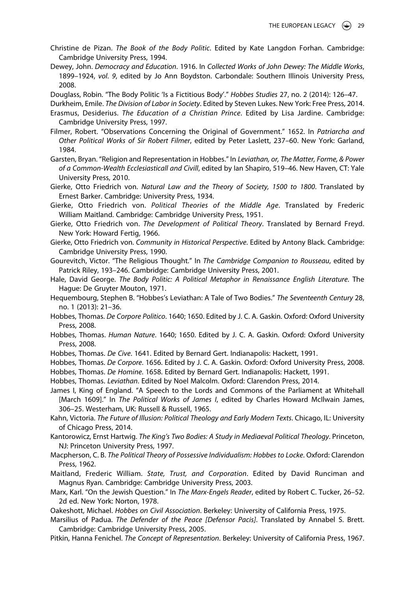- Christine de Pizan. *The Book of the Body Politic*. Edited by Kate Langdon Forhan. Cambridge: Cambridge University Press, 1994.
- Dewey, John. *Democracy and Education*. 1916. In *Collected Works of John Dewey: The Middle Works*, 1899–1924, *vol*. *9*, edited by Jo Ann Boydston. Carbondale: Southern Illinois University Press, 2008.

Douglass, Robin. "The Body Politic 'Is a Fictitious Body'." *Hobbes Studies* 27, no. 2 (2014): 126–47.

- Durkheim, Emile. *The Division of Labor in Society*. Edited by Steven Lukes. New York: Free Press, 2014. Erasmus, Desiderius. *The Education of a Christian Prince*. Edited by Lisa Jardine. Cambridge: Cambridge University Press, 1997.
- Filmer, Robert. "Observations Concerning the Original of Government." 1652. In *Patriarcha and Other Political Works of Sir Robert Filmer*, edited by Peter Laslett, 237–60. New York: Garland, 1984.
- Garsten, Bryan. "Religion and Representation in Hobbes." In *Leviathan, or, The Matter, Forme, & Power of a Common-Wealth Ecclesiasticall and Civill*, edited by Ian Shapiro, 519–46. New Haven, CT: Yale University Press, 2010.
- Gierke, Otto Friedrich von. *Natural Law and the Theory of Society, 1500 to 1800*. Translated by Ernest Barker. Cambridge: University Press, 1934.
- Gierke, Otto Friedrich von. *Political Theories of the Middle Age*. Translated by Frederic William Maitland. Cambridge: Cambridge University Press, 1951.
- Gierke, Otto Friedrich von. *The Development of Political Theory*. Translated by Bernard Freyd. New York: Howard Fertig, 1966.
- Gierke, Otto Friedrich von. *Community in Historical Perspective*. Edited by Antony Black. Cambridge: Cambridge University Press, 1990.
- Gourevitch, Victor. "The Religious Thought." In *The Cambridge Companion to Rousseau*, edited by Patrick Riley, 193–246. Cambridge: Cambridge University Press, 2001.
- Hale, David George. *The Body Politic: A Political Metaphor in Renaissance English Literature*. The Hague: De Gruyter Mouton, 1971.
- Hequembourg, Stephen B. "Hobbes's Leviathan: A Tale of Two Bodies." *The Seventeenth Century* 28, no. 1 (2013): 21–36.
- Hobbes, Thomas. *De Corpore Politico*. 1640; 1650. Edited by J. C. A. Gaskin. Oxford: Oxford University Press, 2008.
- Hobbes, Thomas. *Human Nature*. 1640; 1650. Edited by J. C. A. Gaskin. Oxford: Oxford University Press, 2008.
- Hobbes, Thomas. *De Cive*. 1641. Edited by Bernard Gert. Indianapolis: Hackett, 1991.
- Hobbes, Thomas. *De Corpore*. 1656. Edited by J. C. A. Gaskin. Oxford: Oxford University Press, 2008.
- Hobbes, Thomas. *De Homine*. 1658. Edited by Bernard Gert. Indianapolis: Hackett, 1991.
- Hobbes, Thomas. *Leviathan*. Edited by Noel Malcolm. Oxford: Clarendon Press, 2014.
- James I, King of England. "A Speech to the Lords and Commons of the Parliament at Whitehall [March 1609]." In *The Political Works of James I*, edited by Charles Howard McIlwain James, 306–25. Westerham, UK: Russell & Russell, 1965.
- Kahn, Victoria. *The Future of Illusion: Political Theology and Early Modern Texts*. Chicago, IL: University of Chicago Press, 2014.
- Kantorowicz, Ernst Hartwig. *The King's Two Bodies: A Study in Mediaeval Political Theology*. Princeton, NJ: Princeton University Press, 1997.
- Macpherson, C. B. *The Political Theory of Possessive Individualism: Hobbes to Locke*. Oxford: Clarendon Press, 1962.
- Maitland, Frederic William. *State, Trust, and Corporation*. Edited by David Runciman and Magnus Ryan. Cambridge: Cambridge University Press, 2003.
- Marx, Karl. "On the Jewish Question." In *The Marx-Engels Reader*, edited by Robert C. Tucker, 26–52. 2d ed. New York: Norton, 1978.
- Oakeshott, Michael. *Hobbes on Civil Association*. Berkeley: University of California Press, 1975.
- Marsilius of Padua. *The Defender of the Peace [Defensor Pacis]*. Translated by Annabel S. Brett. Cambridge: Cambridge University Press, 2005.
- Pitkin, Hanna Fenichel. *The Concept of Representation*. Berkeley: University of California Press, 1967.